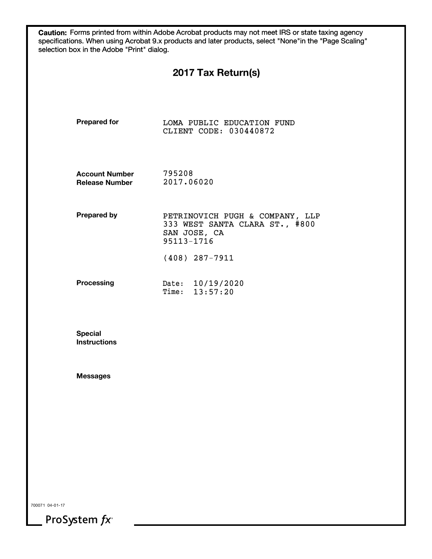|                                                | 2017 Tax Return(s)                                                                              |
|------------------------------------------------|-------------------------------------------------------------------------------------------------|
| <b>Prepared for</b>                            | LOMA PUBLIC EDUCATION FUND<br>CLIENT CODE: 030440872                                            |
| <b>Account Number</b><br><b>Release Number</b> | 795208<br>2017.06020                                                                            |
| <b>Prepared by</b>                             | PETRINOVICH PUGH & COMPANY, LLP<br>333 WEST SANTA CLARA ST., #800<br>SAN JOSE, CA<br>95113-1716 |
|                                                | $(408)$ 287-7911                                                                                |
| <b>Processing</b>                              | Date: 10/19/2020<br>13:57:20<br>Time:                                                           |
| <b>Special</b><br><b>Instructions</b>          |                                                                                                 |
| <b>Messages</b>                                |                                                                                                 |
|                                                |                                                                                                 |
|                                                |                                                                                                 |
|                                                |                                                                                                 |
|                                                |                                                                                                 |

ProSystem  $fx^*$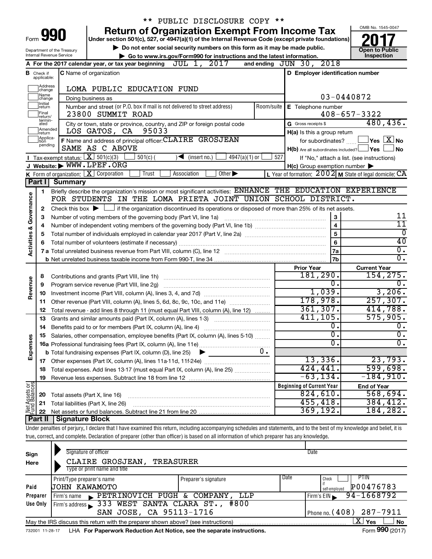|                                                                                                           |                              |                                                                                                                                             | ** PUBLIC DISCLOSURE COPY **                                                                                                                                               |            |                                                     |                                                           |
|-----------------------------------------------------------------------------------------------------------|------------------------------|---------------------------------------------------------------------------------------------------------------------------------------------|----------------------------------------------------------------------------------------------------------------------------------------------------------------------------|------------|-----------------------------------------------------|-----------------------------------------------------------|
|                                                                                                           |                              |                                                                                                                                             | <b>Return of Organization Exempt From Income Tax</b>                                                                                                                       |            |                                                     | OMB No. 1545-0047                                         |
|                                                                                                           | Form 991                     |                                                                                                                                             | Under section 501(c), 527, or 4947(a)(1) of the Internal Revenue Code (except private foundations)                                                                         |            |                                                     |                                                           |
| Do not enter social security numbers on this form as it may be made public.<br>Department of the Treasury |                              |                                                                                                                                             |                                                                                                                                                                            |            | <b>Open to Public</b>                               |                                                           |
|                                                                                                           |                              | Internal Revenue Service                                                                                                                    | Go to www.irs.gov/Form990 for instructions and the latest information.                                                                                                     |            |                                                     | Inspection                                                |
|                                                                                                           |                              |                                                                                                                                             | A For the 2017 calendar year, or tax year beginning $JUL$ 1, $2017$                                                                                                        |            | and ending JUN 30, 2018                             |                                                           |
| в                                                                                                         | Check if<br>applicable:      |                                                                                                                                             | C Name of organization                                                                                                                                                     |            | D Employer identification number                    |                                                           |
|                                                                                                           |                              |                                                                                                                                             |                                                                                                                                                                            |            |                                                     |                                                           |
|                                                                                                           | Address<br> change<br>Name   |                                                                                                                                             | LOMA PUBLIC EDUCATION FUND                                                                                                                                                 |            |                                                     | 03-0440872                                                |
|                                                                                                           | change<br>Initial            |                                                                                                                                             | Doing business as                                                                                                                                                          |            |                                                     |                                                           |
|                                                                                                           | ∣return<br>Final             |                                                                                                                                             | Number and street (or P.O. box if mail is not delivered to street address)<br>23800 SUMMIT ROAD                                                                            | Room/suite | E Telephone number                                  | $408 - 657 - 3322$                                        |
|                                                                                                           | return/<br>termin-           |                                                                                                                                             |                                                                                                                                                                            |            | G Gross receipts \$                                 | 480, 436.                                                 |
|                                                                                                           | ated<br>Amended              |                                                                                                                                             | City or town, state or province, country, and ZIP or foreign postal code<br>95033<br>LOS GATOS, CA                                                                         |            |                                                     |                                                           |
|                                                                                                           | Ireturn<br>Applica-<br>Ition |                                                                                                                                             | F Name and address of principal officer: CLAIRE GROSJEAN                                                                                                                   |            | H(a) Is this a group return<br>for subordinates?    | $\Box$ Yes $[\overline{\mathrm{X}}]$ No                   |
|                                                                                                           | pending                      |                                                                                                                                             | SAME AS C ABOVE                                                                                                                                                            |            | H(b) Are all subordinates included? Ves             | No                                                        |
|                                                                                                           |                              | <b>I</b> Tax-exempt status: $\boxed{\mathbf{X}}$ 501(c)(3)                                                                                  | $501(c)$ (<br>$4947(a)(1)$ or<br>$\blacktriangleleft$ (insert no.)                                                                                                         | 527        |                                                     | If "No," attach a list. (see instructions)                |
|                                                                                                           |                              |                                                                                                                                             | J Website: WWW.LPEF.ORG                                                                                                                                                    |            | $H(c)$ Group exemption number $\blacktriangleright$ |                                                           |
|                                                                                                           |                              |                                                                                                                                             | K Form of organization: $X$ Corporation<br>Trust<br>Association<br>Other $\blacktriangleright$                                                                             |            |                                                     | L Year of formation: $2002$ M State of legal domicile: CA |
|                                                                                                           | Part I                       | Summary                                                                                                                                     |                                                                                                                                                                            |            |                                                     |                                                           |
|                                                                                                           | 1                            |                                                                                                                                             | Briefly describe the organization's mission or most significant activities: ENHANCE THE EDUCATION EXPERIENCE                                                               |            |                                                     |                                                           |
|                                                                                                           |                              |                                                                                                                                             | FOR STUDENTS IN THE LOMA PRIETA JOINT UNION SCHOOL DISTRICT.                                                                                                               |            |                                                     |                                                           |
| Governance                                                                                                | 2                            | Check this box $\blacktriangleright$ $\Box$ if the organization discontinued its operations or disposed of more than 25% of its net assets. |                                                                                                                                                                            |            |                                                     |                                                           |
|                                                                                                           | З                            |                                                                                                                                             | Number of voting members of the governing body (Part VI, line 1a) [11] manufacture of voting members of the governing body (Part VI, line 1a)                              |            | $\mathbf{3}$                                        | 11                                                        |
|                                                                                                           | 4                            |                                                                                                                                             |                                                                                                                                                                            |            | $\overline{\mathbf{4}}$                             | 11                                                        |
| <b>Activities &amp;</b>                                                                                   | 5                            |                                                                                                                                             |                                                                                                                                                                            |            | 5                                                   | $\overline{0}$                                            |
|                                                                                                           |                              |                                                                                                                                             |                                                                                                                                                                            |            | 6                                                   | 40                                                        |
|                                                                                                           |                              |                                                                                                                                             |                                                                                                                                                                            |            | l 7a                                                | $\overline{0}$ .<br>$\overline{0}$ .                      |
|                                                                                                           |                              |                                                                                                                                             |                                                                                                                                                                            |            | 7b                                                  |                                                           |
|                                                                                                           |                              |                                                                                                                                             |                                                                                                                                                                            |            | <b>Prior Year</b><br>181,290.                       | <b>Current Year</b><br>154, 275.                          |
| Revenue                                                                                                   | 8                            |                                                                                                                                             |                                                                                                                                                                            |            | о.                                                  | $\overline{0}$ .                                          |
|                                                                                                           | 9                            |                                                                                                                                             | Program service revenue (Part VIII, line 2g)                                                                                                                               |            | 1,039.                                              | 3,206.                                                    |
|                                                                                                           | 10<br>11                     |                                                                                                                                             |                                                                                                                                                                            |            | 178,978.                                            | 257, 307.                                                 |
|                                                                                                           | 12                           |                                                                                                                                             | Total revenue - add lines 8 through 11 (must equal Part VIII, column (A), line 12)                                                                                         |            | 361,307.                                            | 414,788.                                                  |
|                                                                                                           | 13                           |                                                                                                                                             | Grants and similar amounts paid (Part IX, column (A), lines 1-3)                                                                                                           |            | 411, 105.                                           | 575,905.                                                  |
|                                                                                                           | 14                           |                                                                                                                                             |                                                                                                                                                                            |            |                                                     | $\overline{0}$ .                                          |
|                                                                                                           |                              |                                                                                                                                             | 15 Salaries, other compensation, employee benefits (Part IX, column (A), lines 5-10)                                                                                       |            | $\overline{0}$ .                                    | $\overline{0}$ .                                          |
|                                                                                                           |                              |                                                                                                                                             |                                                                                                                                                                            |            | σ.                                                  | $\overline{0}$ .                                          |
| Expenses                                                                                                  |                              |                                                                                                                                             | $0$ .<br><b>b</b> Total fundraising expenses (Part IX, column (D), line 25)<br>▶                                                                                           |            |                                                     |                                                           |
|                                                                                                           |                              |                                                                                                                                             |                                                                                                                                                                            |            | 13,336.                                             | 23,793.                                                   |
|                                                                                                           | 18                           |                                                                                                                                             | Total expenses. Add lines 13-17 (must equal Part IX, column (A), line 25)                                                                                                  |            | 424,441.                                            | 599,698.                                                  |
|                                                                                                           | 19                           |                                                                                                                                             |                                                                                                                                                                            |            | $-63, 134.$                                         | $-184,910.$                                               |
| Net Assets or                                                                                             |                              |                                                                                                                                             |                                                                                                                                                                            |            | <b>Beginning of Current Year</b>                    | <b>End of Year</b>                                        |
|                                                                                                           | 20                           | Total assets (Part X, line 16)                                                                                                              |                                                                                                                                                                            |            | 824,610.                                            | 568,694.                                                  |
|                                                                                                           | 21                           |                                                                                                                                             | Total liabilities (Part X, line 26)                                                                                                                                        |            | 455, 418.                                           | 384, 412.                                                 |
|                                                                                                           | 22                           |                                                                                                                                             |                                                                                                                                                                            |            | 369, 192.                                           | 184,282.                                                  |
|                                                                                                           | Part II                      | <b>Signature Block</b>                                                                                                                      |                                                                                                                                                                            |            |                                                     |                                                           |
|                                                                                                           |                              |                                                                                                                                             | Under penalties of perjury, I declare that I have examined this return, including accompanying schedules and statements, and to the best of my knowledge and belief, it is |            |                                                     |                                                           |
|                                                                                                           |                              |                                                                                                                                             | true, correct, and complete. Declaration of preparer (other than officer) is based on all information of which preparer has any knowledge.                                 |            |                                                     |                                                           |

| Sign<br>Here | Signature of officer<br>CLAIRE GROSJEAN,<br>TREASURER<br>Type or print name and title |                      | Date                                                |
|--------------|---------------------------------------------------------------------------------------|----------------------|-----------------------------------------------------|
| Paid         | Print/Type preparer's name<br>UOHN KAWAMOTO                                           | Preparer's signature | Date<br>PTIN<br>Check<br>P00476783<br>self-emploved |
| Preparer     | PETRINOVICH PUGH & COMPANY, LLP<br>Firm's name                                        |                      | 94-1668792<br>Firm's $EIN$                          |
| Use Only     | Firm's address 333 WEST SANTA CLARA ST., #800<br>SAN JOSE, CA 95113-1716              |                      | Phone no. $(408)$ 287-7911                          |
|              | May the IRS discuss this return with the preparer shown above? (see instructions)     |                      | X  <br>Yes<br>No<br>$\cdots$                        |

732001 11-28-17 **For Paperwork Reduction Act Notice, see the separate instructions.** LHA Form (2017)

Form **990** (2017)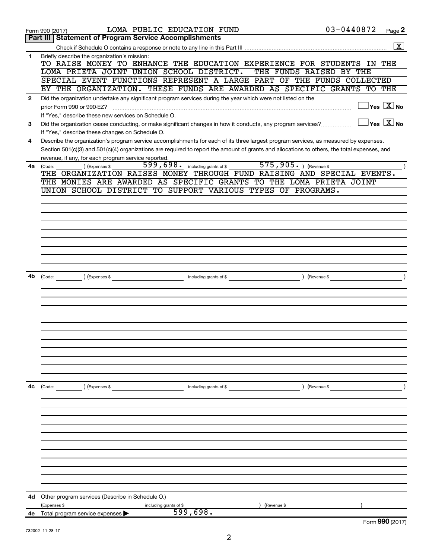|                | Form 990 (2017)                                                                                                                              | LOMA PUBLIC EDUCATION FUND                 |                         | $03 - 0440872$ | Page 2                                  |
|----------------|----------------------------------------------------------------------------------------------------------------------------------------------|--------------------------------------------|-------------------------|----------------|-----------------------------------------|
|                | <b>Part III   Statement of Program Service Accomplishments</b>                                                                               |                                            |                         |                |                                         |
|                |                                                                                                                                              |                                            |                         |                | $\overline{\mathbf{X}}$                 |
| 1              | Briefly describe the organization's mission:<br>TO RAISE MONEY TO ENHANCE THE EDUCATION EXPERIENCE FOR STUDENTS IN THE                       |                                            |                         |                |                                         |
|                | LOMA PRIETA JOINT UNION SCHOOL DISTRICT.                                                                                                     |                                            | THE FUNDS RAISED BY THE |                |                                         |
|                | SPECIAL EVENT FUNCTIONS REPRESENT A LARGE PART OF THE FUNDS COLLECTED                                                                        |                                            |                         |                |                                         |
|                | BY THE ORGANIZATION. THESE FUNDS ARE AWARDED AS SPECIFIC GRANTS TO THE                                                                       |                                            |                         |                |                                         |
| $\overline{2}$ | Did the organization undertake any significant program services during the year which were not listed on the                                 |                                            |                         |                |                                         |
|                | prior Form 990 or 990-EZ?                                                                                                                    |                                            |                         |                | $\sqrt{\mathsf{Yes}\ \mathsf{X}}$ No    |
|                | If "Yes," describe these new services on Schedule O.                                                                                         |                                            |                         |                |                                         |
| 3              | Did the organization cease conducting, or make significant changes in how it conducts, any program services?                                 |                                            |                         |                | $\Box$ Yes $[\overline{\mathrm{X}}]$ No |
|                | If "Yes," describe these changes on Schedule O.                                                                                              |                                            |                         |                |                                         |
| 4              | Describe the organization's program service accomplishments for each of its three largest program services, as measured by expenses.         |                                            |                         |                |                                         |
|                | Section 501(c)(3) and 501(c)(4) organizations are required to report the amount of grants and allocations to others, the total expenses, and |                                            |                         |                |                                         |
|                | revenue, if any, for each program service reported.                                                                                          | 599, 698. including grants of \$           | 575,905. ) (Revenue \$  |                |                                         |
| 4a             | ) (Expenses \$<br>(Code:<br>THE ORGANIZATION RAISES MONEY THROUGH FUND RAISING AND SPECIAL EVENTS.                                           |                                            |                         |                |                                         |
|                | THE MONIES ARE AWARDED AS SPECIFIC GRANTS TO THE LOMA PRIETA JOINT                                                                           |                                            |                         |                |                                         |
|                | UNION SCHOOL DISTRICT TO SUPPORT VARIOUS TYPES OF PROGRAMS.                                                                                  |                                            |                         |                |                                         |
|                |                                                                                                                                              |                                            |                         |                |                                         |
|                |                                                                                                                                              |                                            |                         |                |                                         |
|                |                                                                                                                                              |                                            |                         |                |                                         |
|                |                                                                                                                                              |                                            |                         |                |                                         |
|                |                                                                                                                                              |                                            |                         |                |                                         |
|                |                                                                                                                                              |                                            |                         |                |                                         |
|                |                                                                                                                                              |                                            |                         |                |                                         |
|                |                                                                                                                                              |                                            |                         |                |                                         |
|                |                                                                                                                                              |                                            |                         |                |                                         |
| 4b             | (Expenses \$<br>$\left(\text{Code:}\n\right)$                                                                                                | <b>Example 2018</b> including grants of \$ | ) (Revenue \$           |                | $\lambda$                               |
|                |                                                                                                                                              |                                            |                         |                |                                         |
|                |                                                                                                                                              |                                            |                         |                |                                         |
|                |                                                                                                                                              |                                            |                         |                |                                         |
|                |                                                                                                                                              |                                            |                         |                |                                         |
|                |                                                                                                                                              |                                            |                         |                |                                         |
|                |                                                                                                                                              |                                            |                         |                |                                         |
|                |                                                                                                                                              |                                            |                         |                |                                         |
|                |                                                                                                                                              |                                            |                         |                |                                         |
|                |                                                                                                                                              |                                            |                         |                |                                         |
|                |                                                                                                                                              |                                            |                         |                |                                         |
|                |                                                                                                                                              |                                            |                         |                |                                         |
| 4c             | $\left(\text{Code:}\right)$ $\left(\text{Expenses $}\right)$                                                                                 | including grants of $$$                    |                         | ) (Revenue \$  |                                         |
|                |                                                                                                                                              |                                            |                         |                |                                         |
|                |                                                                                                                                              |                                            |                         |                |                                         |
|                |                                                                                                                                              |                                            |                         |                |                                         |
|                |                                                                                                                                              |                                            |                         |                |                                         |
|                |                                                                                                                                              |                                            |                         |                |                                         |
|                |                                                                                                                                              |                                            |                         |                |                                         |
|                |                                                                                                                                              |                                            |                         |                |                                         |
|                |                                                                                                                                              |                                            |                         |                |                                         |
|                |                                                                                                                                              |                                            |                         |                |                                         |
|                |                                                                                                                                              |                                            |                         |                |                                         |
|                |                                                                                                                                              |                                            |                         |                |                                         |
| 4d             | Other program services (Describe in Schedule O.)                                                                                             |                                            |                         |                |                                         |
| 4е             | (Expenses \$<br>including grants of \$<br>Total program service expenses                                                                     | 599,698.                                   | (Revenue \$             |                |                                         |
|                |                                                                                                                                              |                                            |                         |                | Form 990 (2017)                         |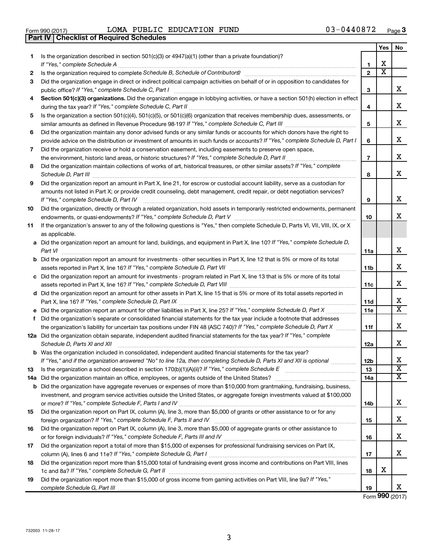|  | Form 990 (2017) |  |
|--|-----------------|--|

**Part IV Checklist of Required Schedules**

Form 990 (2017) Page LOMA PUBLIC EDUCATION FUND 03-0440872

|     |                                                                                                                                                                                         |                | Yes                   | No                      |
|-----|-----------------------------------------------------------------------------------------------------------------------------------------------------------------------------------------|----------------|-----------------------|-------------------------|
| 1.  | Is the organization described in section $501(c)(3)$ or $4947(a)(1)$ (other than a private foundation)?                                                                                 |                |                       |                         |
|     |                                                                                                                                                                                         | 1              | x                     |                         |
| 2   |                                                                                                                                                                                         | $\mathbf{2}$   | $\overline{\text{x}}$ |                         |
| 3   | Did the organization engage in direct or indirect political campaign activities on behalf of or in opposition to candidates for<br>public office? If "Yes," complete Schedule C, Part I | 3              |                       | x                       |
| 4   | Section 501(c)(3) organizations. Did the organization engage in lobbying activities, or have a section 501(h) election in effect                                                        |                |                       |                         |
|     |                                                                                                                                                                                         | 4              |                       | x                       |
| 5   | Is the organization a section 501(c)(4), 501(c)(5), or 501(c)(6) organization that receives membership dues, assessments, or                                                            |                |                       |                         |
|     |                                                                                                                                                                                         | 5              |                       | x                       |
| 6   | Did the organization maintain any donor advised funds or any similar funds or accounts for which donors have the right to                                                               |                |                       |                         |
|     | provide advice on the distribution or investment of amounts in such funds or accounts? If "Yes," complete Schedule D, Part I                                                            | 6              |                       | x                       |
| 7   | Did the organization receive or hold a conservation easement, including easements to preserve open space,                                                                               |                |                       |                         |
|     | the environment, historic land areas, or historic structures? If "Yes," complete Schedule D, Part II                                                                                    | $\overline{7}$ |                       | x                       |
| 8   | Did the organization maintain collections of works of art, historical treasures, or other similar assets? If "Yes," complete                                                            | 8              |                       | x                       |
| 9   | Did the organization report an amount in Part X, line 21, for escrow or custodial account liability, serve as a custodian for                                                           |                |                       |                         |
|     | amounts not listed in Part X; or provide credit counseling, debt management, credit repair, or debt negotiation services?                                                               |                |                       |                         |
|     | If "Yes," complete Schedule D, Part IV                                                                                                                                                  | 9              |                       | x                       |
| 10  | Did the organization, directly or through a related organization, hold assets in temporarily restricted endowments, permanent                                                           |                |                       | x                       |
|     | If the organization's answer to any of the following questions is "Yes," then complete Schedule D, Parts VI, VII, VIII, IX, or X                                                        | 10             |                       |                         |
| 11  | as applicable.                                                                                                                                                                          |                |                       |                         |
|     | a Did the organization report an amount for land, buildings, and equipment in Part X, line 10? If "Yes," complete Schedule D,                                                           |                |                       |                         |
|     | Part VI                                                                                                                                                                                 | 11a            |                       | x                       |
|     | <b>b</b> Did the organization report an amount for investments - other securities in Part X, line 12 that is 5% or more of its total                                                    |                |                       |                         |
|     |                                                                                                                                                                                         | 11b            |                       | x                       |
|     | c Did the organization report an amount for investments - program related in Part X, line 13 that is 5% or more of its total                                                            |                |                       |                         |
|     |                                                                                                                                                                                         | 11c            |                       | x                       |
|     | d Did the organization report an amount for other assets in Part X, line 15 that is 5% or more of its total assets reported in                                                          |                |                       |                         |
|     |                                                                                                                                                                                         | 11d            |                       | х                       |
|     | e Did the organization report an amount for other liabilities in Part X, line 25? If "Yes," complete Schedule D, Part X                                                                 | <b>11e</b>     |                       | $\overline{\text{X}}$   |
| f   | Did the organization's separate or consolidated financial statements for the tax year include a footnote that addresses                                                                 |                |                       |                         |
|     | the organization's liability for uncertain tax positions under FIN 48 (ASC 740)? If "Yes," complete Schedule D, Part X                                                                  | 11f            |                       | x                       |
|     | 12a Did the organization obtain separate, independent audited financial statements for the tax year? If "Yes," complete<br>Schedule D, Parts XI and XII                                 |                |                       | x                       |
|     | <b>b</b> Was the organization included in consolidated, independent audited financial statements for the tax year?                                                                      | 12a            |                       |                         |
|     | If "Yes," and if the organization answered "No" to line 12a, then completing Schedule D, Parts XI and XII is optional                                                                   | 12b            |                       | X                       |
| 13  |                                                                                                                                                                                         | 13             |                       | $\overline{\textbf{X}}$ |
| 14a | Did the organization maintain an office, employees, or agents outside of the United States?                                                                                             | 14a            |                       | х                       |
|     | <b>b</b> Did the organization have aggregate revenues or expenses of more than \$10,000 from grantmaking, fundraising, business,                                                        |                |                       |                         |
|     | investment, and program service activities outside the United States, or aggregate foreign investments valued at \$100,000                                                              |                |                       |                         |
|     |                                                                                                                                                                                         | 14b            |                       | X.                      |
| 15  | Did the organization report on Part IX, column (A), line 3, more than \$5,000 of grants or other assistance to or for any                                                               |                |                       |                         |
|     |                                                                                                                                                                                         | 15             |                       | X.                      |
| 16  | Did the organization report on Part IX, column (A), line 3, more than \$5,000 of aggregate grants or other assistance to                                                                | 16             |                       | x                       |
| 17  | Did the organization report a total of more than \$15,000 of expenses for professional fundraising services on Part IX,                                                                 |                |                       |                         |
|     |                                                                                                                                                                                         | 17             |                       | x                       |
| 18  | Did the organization report more than \$15,000 total of fundraising event gross income and contributions on Part VIII, lines                                                            |                |                       |                         |
|     |                                                                                                                                                                                         | 18             | X                     |                         |
| 19  | Did the organization report more than \$15,000 of gross income from gaming activities on Part VIII, line 9a? If "Yes,"                                                                  |                |                       | x                       |
|     |                                                                                                                                                                                         | 19             |                       |                         |

Form (2017) **990**

3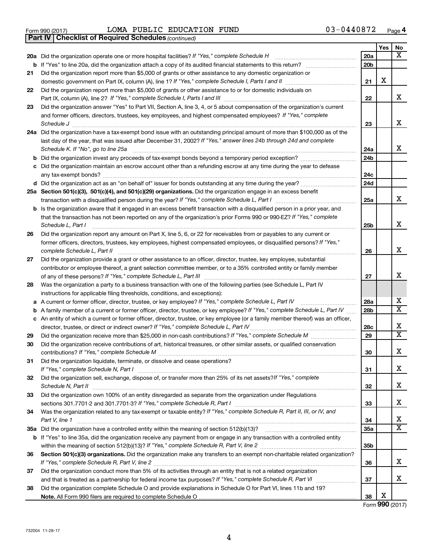|  | Form 990 (2017) |
|--|-----------------|

Form 990 (2017)  $LOMA$  PUBLIC EDUCATION FUND  $03-0440872$  Page

*(continued)* **Part IV Checklist of Required Schedules**

|     |                                                                                                                                                                                                                                                 |     | Yes | No                      |
|-----|-------------------------------------------------------------------------------------------------------------------------------------------------------------------------------------------------------------------------------------------------|-----|-----|-------------------------|
| 20a | Did the organization operate one or more hospital facilities? If "Yes," complete Schedule H                                                                                                                                                     | 20a |     | x                       |
| b   | If "Yes" to line 20a, did the organization attach a copy of its audited financial statements to this return?                                                                                                                                    | 20b |     |                         |
| 21  | Did the organization report more than \$5,000 of grants or other assistance to any domestic organization or                                                                                                                                     |     |     |                         |
|     | domestic government on Part IX, column (A), line 1? If "Yes," complete Schedule I, Parts I and II                                                                                                                                               | 21  | х   |                         |
| 22  | Did the organization report more than \$5,000 of grants or other assistance to or for domestic individuals on                                                                                                                                   |     |     |                         |
|     | Part IX, column (A), line 2? If "Yes," complete Schedule I, Parts I and III                                                                                                                                                                     | 22  |     | x                       |
| 23  | Did the organization answer "Yes" to Part VII, Section A, line 3, 4, or 5 about compensation of the organization's current                                                                                                                      |     |     |                         |
|     | and former officers, directors, trustees, key employees, and highest compensated employees? If "Yes," complete                                                                                                                                  |     |     |                         |
|     | Schedule J                                                                                                                                                                                                                                      | 23  |     | x                       |
| 24a | Did the organization have a tax-exempt bond issue with an outstanding principal amount of more than \$100,000 as of the                                                                                                                         |     |     |                         |
|     | last day of the year, that was issued after December 31, 2002? If "Yes," answer lines 24b through 24d and complete                                                                                                                              |     |     |                         |
|     | Schedule K. If "No", go to line 25a                                                                                                                                                                                                             | 24a |     | x                       |
| b   |                                                                                                                                                                                                                                                 | 24b |     |                         |
| с   | Did the organization maintain an escrow account other than a refunding escrow at any time during the year to defease                                                                                                                            |     |     |                         |
|     | any tax-exempt bonds?                                                                                                                                                                                                                           | 24c |     |                         |
|     |                                                                                                                                                                                                                                                 | 24d |     |                         |
|     | 25a Section 501(c)(3), 501(c)(4), and 501(c)(29) organizations. Did the organization engage in an excess benefit                                                                                                                                |     |     |                         |
|     | transaction with a disqualified person during the year? If "Yes," complete Schedule L, Part I                                                                                                                                                   | 25a |     | x                       |
| b   | Is the organization aware that it engaged in an excess benefit transaction with a disqualified person in a prior year, and                                                                                                                      |     |     |                         |
|     | that the transaction has not been reported on any of the organization's prior Forms 990 or 990-EZ? If "Yes," complete                                                                                                                           |     |     | x                       |
|     | Schedule L, Part I                                                                                                                                                                                                                              | 25b |     |                         |
| 26  | Did the organization report any amount on Part X, line 5, 6, or 22 for receivables from or payables to any current or<br>former officers, directors, trustees, key employees, highest compensated employees, or disqualified persons? If "Yes," |     |     |                         |
|     | complete Schedule L, Part II                                                                                                                                                                                                                    | 26  |     | x                       |
| 27  | Did the organization provide a grant or other assistance to an officer, director, trustee, key employee, substantial                                                                                                                            |     |     |                         |
|     | contributor or employee thereof, a grant selection committee member, or to a 35% controlled entity or family member                                                                                                                             |     |     |                         |
|     | of any of these persons? If "Yes," complete Schedule L, Part III                                                                                                                                                                                | 27  |     | x                       |
| 28  | Was the organization a party to a business transaction with one of the following parties (see Schedule L, Part IV                                                                                                                               |     |     |                         |
|     | instructions for applicable filing thresholds, conditions, and exceptions):                                                                                                                                                                     |     |     |                         |
| а   | A current or former officer, director, trustee, or key employee? If "Yes," complete Schedule L, Part IV                                                                                                                                         | 28a |     | x                       |
| b   | A family member of a current or former officer, director, trustee, or key employee? If "Yes," complete Schedule L, Part IV                                                                                                                      | 28b |     | $\overline{\mathtt{x}}$ |
| с   | An entity of which a current or former officer, director, trustee, or key employee (or a family member thereof) was an officer,                                                                                                                 |     |     |                         |
|     | director, trustee, or direct or indirect owner? If "Yes," complete Schedule L, Part IV                                                                                                                                                          | 28c |     | x                       |
| 29  |                                                                                                                                                                                                                                                 | 29  |     | $\overline{\mathtt{x}}$ |
| 30  | Did the organization receive contributions of art, historical treasures, or other similar assets, or qualified conservation                                                                                                                     |     |     |                         |
|     |                                                                                                                                                                                                                                                 | 30  |     | x                       |
| 31  | Did the organization liquidate, terminate, or dissolve and cease operations?                                                                                                                                                                    |     |     |                         |
|     |                                                                                                                                                                                                                                                 | 31  |     | x                       |
| 32  | Did the organization sell, exchange, dispose of, or transfer more than 25% of its net assets? If "Yes," complete                                                                                                                                |     |     |                         |
|     |                                                                                                                                                                                                                                                 | 32  |     | x                       |
| 33  | Did the organization own 100% of an entity disregarded as separate from the organization under Regulations                                                                                                                                      |     |     |                         |
|     |                                                                                                                                                                                                                                                 | 33  |     | x                       |
| 34  | Was the organization related to any tax-exempt or taxable entity? If "Yes," complete Schedule R, Part II, III, or IV, and                                                                                                                       |     |     |                         |
|     | Part V, line 1                                                                                                                                                                                                                                  | 34  |     | х                       |
| 35a |                                                                                                                                                                                                                                                 | 35a |     | $\overline{\mathbf{X}}$ |
| b   | If "Yes" to line 35a, did the organization receive any payment from or engage in any transaction with a controlled entity                                                                                                                       |     |     |                         |
|     |                                                                                                                                                                                                                                                 | 35b |     |                         |
| 36  | Section 501(c)(3) organizations. Did the organization make any transfers to an exempt non-charitable related organization?                                                                                                                      |     |     |                         |
|     |                                                                                                                                                                                                                                                 | 36  |     | X.                      |
| 37  | Did the organization conduct more than 5% of its activities through an entity that is not a related organization                                                                                                                                |     |     |                         |
|     |                                                                                                                                                                                                                                                 | 37  |     | x                       |
| 38  | Did the organization complete Schedule O and provide explanations in Schedule O for Part VI, lines 11b and 19?                                                                                                                                  |     |     |                         |
|     |                                                                                                                                                                                                                                                 | 38  | х   |                         |

Form (2017) **990**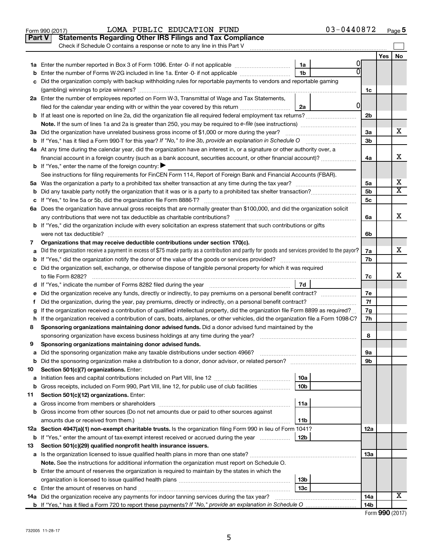|               | LOMA PUBLIC EDUCATION FUND<br>Form 990 (2017)                                                                                                   |                 | 03-0440872 |                |     | Page 5                  |
|---------------|-------------------------------------------------------------------------------------------------------------------------------------------------|-----------------|------------|----------------|-----|-------------------------|
| <b>Part V</b> | <b>Statements Regarding Other IRS Filings and Tax Compliance</b>                                                                                |                 |            |                |     |                         |
|               | Check if Schedule O contains a response or note to any line in this Part V                                                                      |                 |            |                |     |                         |
|               |                                                                                                                                                 |                 |            |                | Yes | No                      |
|               |                                                                                                                                                 | 1a              |            |                |     |                         |
| b             | Enter the number of Forms W-2G included in line 1a. Enter -0- if not applicable                                                                 | 1 <sub>b</sub>  |            |                |     |                         |
| c             | Did the organization comply with backup withholding rules for reportable payments to vendors and reportable gaming                              |                 |            |                |     |                         |
|               |                                                                                                                                                 |                 |            | 1c             |     |                         |
|               | 2a Enter the number of employees reported on Form W-3, Transmittal of Wage and Tax Statements,                                                  |                 |            |                |     |                         |
|               | filed for the calendar year ending with or within the year covered by this return                                                               | 2a              | 0          |                |     |                         |
|               | <b>b</b> If at least one is reported on line 2a, did the organization file all required federal employment tax returns?                         |                 |            | 2 <sub>b</sub> |     |                         |
|               |                                                                                                                                                 |                 |            |                |     |                         |
|               | 3a Did the organization have unrelated business gross income of \$1,000 or more during the year?                                                |                 |            | 3a             |     | x                       |
|               |                                                                                                                                                 |                 |            | 3b             |     |                         |
|               | 4a At any time during the calendar year, did the organization have an interest in, or a signature or other authority over, a                    |                 |            |                |     |                         |
|               | financial account in a foreign country (such as a bank account, securities account, or other financial account)?                                |                 |            | 4a             |     | x                       |
|               | <b>b</b> If "Yes," enter the name of the foreign country:                                                                                       |                 |            |                |     |                         |
|               | See instructions for filing requirements for FinCEN Form 114, Report of Foreign Bank and Financial Accounts (FBAR).                             |                 |            |                |     |                         |
|               | 5a Was the organization a party to a prohibited tax shelter transaction at any time during the tax year?                                        |                 |            | 5a             |     | х                       |
|               |                                                                                                                                                 |                 |            | 5b             |     | $\overline{\mathtt{x}}$ |
|               |                                                                                                                                                 |                 |            | 5c             |     |                         |
|               | 6a Does the organization have annual gross receipts that are normally greater than \$100,000, and did the organization solicit                  |                 |            |                |     |                         |
|               | any contributions that were not tax deductible as charitable contributions?                                                                     |                 |            | 6a             |     | x                       |
|               | b If "Yes," did the organization include with every solicitation an express statement that such contributions or gifts                          |                 |            |                |     |                         |
|               | were not tax deductible?                                                                                                                        |                 |            | 6b             |     |                         |
| 7             | Organizations that may receive deductible contributions under section 170(c).                                                                   |                 |            |                |     |                         |
| a             | Did the organization receive a payment in excess of \$75 made partly as a contribution and partly for goods and services provided to the payor? |                 |            | 7a             |     | x                       |
|               |                                                                                                                                                 |                 |            | 7b             |     |                         |
|               | c Did the organization sell, exchange, or otherwise dispose of tangible personal property for which it was required                             |                 |            |                |     |                         |
|               | to file Form 8282?                                                                                                                              |                 |            | 7c             |     | х                       |
|               | d If "Yes," indicate the number of Forms 8282 filed during the year manufacture intervent contained in the Sea                                  | 7d              |            |                |     |                         |
| е             |                                                                                                                                                 |                 |            | 7е             |     |                         |
| f.            | Did the organization, during the year, pay premiums, directly or indirectly, on a personal benefit contract?                                    |                 |            | 7f             |     |                         |
| g             | If the organization received a contribution of qualified intellectual property, did the organization file Form 8899 as required?                |                 |            | 7g             |     |                         |
|               | h If the organization received a contribution of cars, boats, airplanes, or other vehicles, did the organization file a Form 1098-C?            |                 |            | 7h             |     |                         |
| 8             | Sponsoring organizations maintaining donor advised funds. Did a donor advised fund maintained by the                                            |                 |            |                |     |                         |
|               | sponsoring organization have excess business holdings at any time during the year?                                                              |                 |            | 8              |     |                         |
| 9             | Sponsoring organizations maintaining donor advised funds.                                                                                       |                 |            |                |     |                         |
| а             | Did the sponsoring organization make any taxable distributions under section 4966?                                                              |                 |            | 9а             |     |                         |
| b             |                                                                                                                                                 |                 |            | 9b             |     |                         |
| 10            | Section 501(c)(7) organizations. Enter:                                                                                                         |                 |            |                |     |                         |
| а             |                                                                                                                                                 | 10a             |            |                |     |                         |
| b             | Gross receipts, included on Form 990, Part VIII, line 12, for public use of club facilities <i>manumum</i>                                      | 10 <sub>b</sub> |            |                |     |                         |
| 11            | Section 501(c)(12) organizations. Enter:                                                                                                        |                 |            |                |     |                         |
| а             |                                                                                                                                                 | 11a             |            |                |     |                         |
| b             | Gross income from other sources (Do not net amounts due or paid to other sources against                                                        |                 |            |                |     |                         |
|               |                                                                                                                                                 | 11b             |            |                |     |                         |
|               | 12a Section 4947(a)(1) non-exempt charitable trusts. Is the organization filing Form 990 in lieu of Form 1041?                                  |                 |            | 12a            |     |                         |
| b             | If "Yes," enter the amount of tax-exempt interest received or accrued during the year                                                           | 12 <sub>b</sub> |            |                |     |                         |
| 13            | Section 501(c)(29) qualified nonprofit health insurance issuers.                                                                                |                 |            |                |     |                         |
| а             |                                                                                                                                                 |                 |            | 13a            |     |                         |
|               | Note. See the instructions for additional information the organization must report on Schedule O.                                               |                 |            |                |     |                         |
|               | <b>b</b> Enter the amount of reserves the organization is required to maintain by the states in which the                                       |                 |            |                |     |                         |
|               |                                                                                                                                                 | 13 <sub>b</sub> |            |                |     |                         |
|               |                                                                                                                                                 | 13 <sub>c</sub> |            |                |     |                         |
|               | 14a Did the organization receive any payments for indoor tanning services during the tax year?                                                  |                 |            | 14a            |     | X                       |
|               |                                                                                                                                                 |                 |            | 14b            |     |                         |

|  |  | Form 990 (2017) |
|--|--|-----------------|
|--|--|-----------------|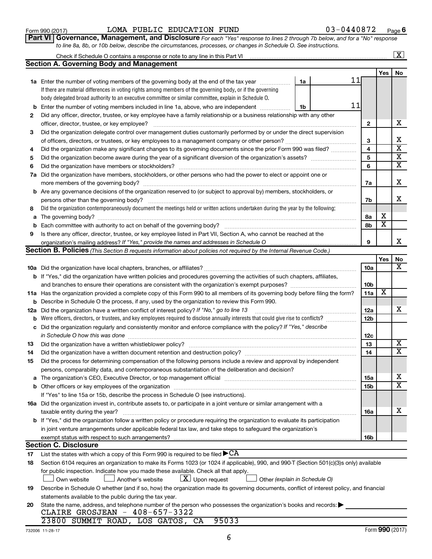| 20 |  |
|----|--|
|    |  |

### State the name, addres CLAIRE GROSJ

# 23800 SUMMIT

|     |                                                                                                                                                                               |                 | Yes             | No                          |
|-----|-------------------------------------------------------------------------------------------------------------------------------------------------------------------------------|-----------------|-----------------|-----------------------------|
|     |                                                                                                                                                                               | 10a             |                 | $\overline{\textbf{x}}$     |
|     | b If "Yes," did the organization have written policies and procedures governing the activities of such chapters, affiliates,                                                  |                 |                 |                             |
|     |                                                                                                                                                                               | 10 <sub>b</sub> |                 |                             |
|     | 11a Has the organization provided a complete copy of this Form 990 to all members of its governing body before filing the form?                                               | 11a             | x               |                             |
| b   | Describe in Schedule O the process, if any, used by the organization to review this Form 990.                                                                                 |                 |                 |                             |
| 12a | Did the organization have a written conflict of interest policy? If "No," go to line 13                                                                                       | 12a             |                 | x                           |
| b   | Were officers, directors, or trustees, and key employees required to disclose annually interests that could give rise to conflicts?                                           | 12 <sub>b</sub> |                 |                             |
| c   | Did the organization regularly and consistently monitor and enforce compliance with the policy? If "Yes," describe                                                            |                 |                 |                             |
|     | in Schedule O how this was done                                                                                                                                               | 12c             |                 |                             |
| 13  |                                                                                                                                                                               | 13              |                 | х                           |
| 14  | Did the organization have a written document retention and destruction policy? [11] manufaction in the organization have a written document retention and destruction policy? | 14              |                 | $\overline{\textnormal{x}}$ |
| 15  | Did the process for determining compensation of the following persons include a review and approval by independent                                                            |                 |                 |                             |
|     | persons, comparability data, and contemporaneous substantiation of the deliberation and decision?                                                                             |                 |                 |                             |
| a   |                                                                                                                                                                               | <b>15a</b>      |                 | х                           |
|     |                                                                                                                                                                               | 15 <sub>b</sub> |                 | $\overline{\textnormal{x}}$ |
|     | If "Yes" to line 15a or 15b, describe the process in Schedule O (see instructions).                                                                                           |                 |                 |                             |
|     | 16a Did the organization invest in, contribute assets to, or participate in a joint venture or similar arrangement with a                                                     |                 |                 |                             |
|     | taxable entity during the year?                                                                                                                                               | 16a             |                 | х                           |
|     | <b>b</b> If "Yes," did the organization follow a written policy or procedure requiring the organization to evaluate its participation                                         |                 |                 |                             |
|     | in joint venture arrangements under applicable federal tax law, and take steps to safequard the organization's                                                                |                 |                 |                             |
|     |                                                                                                                                                                               | 16 <sub>b</sub> |                 |                             |
|     | <b>Section C. Disclosure</b>                                                                                                                                                  |                 |                 |                             |
| 17  | List the states with which a copy of this Form 990 is required to be filed $\blacktriangleright$ CA                                                                           |                 |                 |                             |
| 18  | Section 6104 requires an organization to make its Forms 1023 (or 1024 if applicable), 990, and 990-T (Section 501(c)(3)s only) available                                      |                 |                 |                             |
|     | for public inspection. Indicate how you made these available. Check all that apply.                                                                                           |                 |                 |                             |
|     | $\lfloor x \rfloor$ Upon request<br>Another's website<br>Own website<br>Other (explain in Schedule O)                                                                         |                 |                 |                             |
| 19  | Describe in Schedule O whether (and if so, how) the organization made its governing documents, conflict of interest policy, and financial                                     |                 |                 |                             |
|     | statements available to the public during the tax year.                                                                                                                       |                 |                 |                             |
| 20  | State the name, address, and telephone number of the person who possesses the organization's books and records:                                                               |                 |                 |                             |
|     | CLAIRE GROSJEAN - 408-657-3322                                                                                                                                                |                 |                 |                             |
|     | 23800 SUMMIT ROAD, LOS GATOS, CA<br>95033                                                                                                                                     |                 |                 |                             |
|     | 732006 11-28-17                                                                                                                                                               |                 | Form 990 (2017) |                             |
|     | 6                                                                                                                                                                             |                 |                 |                             |
|     |                                                                                                                                                                               |                 |                 |                             |
|     |                                                                                                                                                                               |                 |                 |                             |

| Form 990 (2017) |                                                                                                                                      | LOMA PUBLIC EDUCATION FUND |  | 03-0440872 | Page $6$ |
|-----------------|--------------------------------------------------------------------------------------------------------------------------------------|----------------------------|--|------------|----------|
|                 | <b>Part VI</b>   Governance, Management, and Disclosure For each "Yes" response to lines 2 through 7b below, and for a "No" response |                            |  |            |          |
|                 | to line 8a, 8b, or 10b below, describe the circumstances, processes, or changes in Schedule O. See instructions.                     |                            |  |            |          |

Check if Schedule O contains a response or note to any line in this Part VI

**Section A. Governing Body and Management**

|    |                                                                                                                                                                                                                               |                         | Yes                     | <b>No</b>                  |
|----|-------------------------------------------------------------------------------------------------------------------------------------------------------------------------------------------------------------------------------|-------------------------|-------------------------|----------------------------|
|    | 11<br>1a<br>1a Enter the number of voting members of the governing body at the end of the tax year <i>manumining</i>                                                                                                          |                         |                         |                            |
|    | If there are material differences in voting rights among members of the governing body, or if the governing                                                                                                                   |                         |                         |                            |
|    | body delegated broad authority to an executive committee or similar committee, explain in Schedule O.                                                                                                                         |                         |                         |                            |
|    | 11<br><b>b</b> Enter the number of voting members included in line 1a, above, who are independent <i>manumum</i><br>1b                                                                                                        |                         |                         |                            |
| 2  | Did any officer, director, trustee, or key employee have a family relationship or a business relationship with any other                                                                                                      |                         |                         |                            |
|    | officer, director, trustee, or key employee?                                                                                                                                                                                  | $\mathbf{2}$            |                         | X                          |
| 3  | Did the organization delegate control over management duties customarily performed by or under the direct supervision                                                                                                         |                         |                         |                            |
|    |                                                                                                                                                                                                                               | З                       |                         | X                          |
| 4  | Did the organization make any significant changes to its governing documents since the prior Form 990 was filed?                                                                                                              | $\overline{\mathbf{4}}$ |                         | X                          |
| 5  | Did the organization become aware during the year of a significant diversion of the organization's assets?                                                                                                                    | 5                       |                         | х                          |
| 6  |                                                                                                                                                                                                                               | 6                       |                         | х                          |
|    | 7a Did the organization have members, stockholders, or other persons who had the power to elect or appoint one or                                                                                                             |                         |                         |                            |
|    |                                                                                                                                                                                                                               | 7a                      |                         | X                          |
|    | <b>b</b> Are any governance decisions of the organization reserved to (or subject to approval by) members, stockholders, or                                                                                                   |                         |                         |                            |
|    |                                                                                                                                                                                                                               | 7b                      |                         | х                          |
| 8  | Did the organization contemporaneously document the meetings held or written actions undertaken during the year by the following:                                                                                             |                         |                         |                            |
| a  |                                                                                                                                                                                                                               | 8a                      | х                       |                            |
| b  |                                                                                                                                                                                                                               | 8b                      | $\overline{\mathbf{x}}$ |                            |
| 9  | Is there any officer, director, trustee, or key employee listed in Part VII, Section A, who cannot be reached at the                                                                                                          |                         |                         |                            |
|    |                                                                                                                                                                                                                               | 9                       |                         | X                          |
|    | Section B. Policies (This Section B requests information about policies not required by the Internal Revenue Code.)                                                                                                           |                         |                         |                            |
|    |                                                                                                                                                                                                                               |                         |                         |                            |
|    |                                                                                                                                                                                                                               |                         | Yes                     | <b>No</b>                  |
|    |                                                                                                                                                                                                                               | 10a                     |                         | $\overline{\textbf{x}}$    |
|    | <b>b</b> If "Yes," did the organization have written policies and procedures governing the activities of such chapters, affiliates,                                                                                           |                         |                         |                            |
|    |                                                                                                                                                                                                                               | 10b                     |                         |                            |
|    | 11a Has the organization provided a complete copy of this Form 990 to all members of its governing body before filing the form?                                                                                               | 11a                     | $\overline{\textbf{x}}$ |                            |
|    | <b>b</b> Describe in Schedule O the process, if any, used by the organization to review this Form 990.                                                                                                                        |                         |                         |                            |
|    | 12a Did the organization have a written conflict of interest policy? If "No," go to line 13                                                                                                                                   | 12a                     |                         | X                          |
| b  | Were officers, directors, or trustees, and key employees required to disclose annually interests that could give rise to conflicts?                                                                                           | 12 <sub>b</sub>         |                         |                            |
|    | c Did the organization regularly and consistently monitor and enforce compliance with the policy? If "Yes," describe                                                                                                          |                         |                         |                            |
|    | in Schedule O how this was done                                                                                                                                                                                               | 12c                     |                         |                            |
| 13 | Did the organization have a written whistleblower policy?                                                                                                                                                                     | 13                      |                         | $\overline{\textbf{x}}$    |
| 14 | Did the organization have a written document retention and destruction policy? [11] manufaction manufaction in                                                                                                                | 14                      |                         | $\overline{\mathbf{x}}$    |
| 15 | Did the process for determining compensation of the following persons include a review and approval by independent                                                                                                            |                         |                         |                            |
|    | persons, comparability data, and contemporaneous substantiation of the deliberation and decision?                                                                                                                             |                         |                         |                            |
| a  | The organization's CEO, Executive Director, or top management official manufactured content content of the organization's CEO, Executive Director, or top management official manufactured content of the original content of | <b>15a</b>              |                         | X<br>$\overline{\text{x}}$ |

 $\boxed{\text{X}}$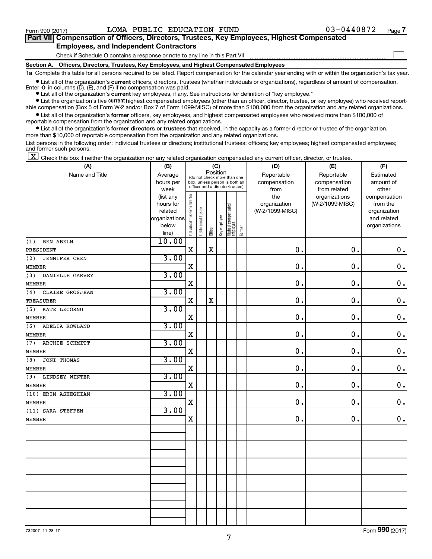$\Box$ 

| Part VII Compensation of Officers, Directors, Trustees, Key Employees, Highest Compensated |  |  |  |  |
|--------------------------------------------------------------------------------------------|--|--|--|--|
| <b>Employees, and Independent Contractors</b>                                              |  |  |  |  |

#### Check if Schedule O contains a response or note to any line in this Part VII

**Section A. Officers, Directors, Trustees, Key Employees, and Highest Compensated Employees**

**1a**  Complete this table for all persons required to be listed. Report compensation for the calendar year ending with or within the organization's tax year.

**•** List all of the organization's current officers, directors, trustees (whether individuals or organizations), regardless of amount of compensation. Enter  $-0$ - in columns  $(D)$ ,  $(E)$ , and  $(F)$  if no compensation was paid.

**•** List all of the organization's **current** key employees, if any. See instructions for definition of "key employee."

**•** List the organization's five current highest compensated employees (other than an officer, director, trustee, or key employee) who received reportable compensation (Box 5 of Form W-2 and/or Box 7 of Form 1099-MISC) of more than \$100,000 from the organization and any related organizations.

**•** List all of the organization's former officers, key employees, and highest compensated employees who received more than \$100,000 of reportable compensation from the organization and any related organizations.

**•** List all of the organization's former directors or trustees that received, in the capacity as a former director or trustee of the organization, more than \$10,000 of reportable compensation from the organization and any related organizations.

List persons in the following order: individual trustees or directors; institutional trustees; officers; key employees; highest compensated employees; and former such persons.

 $\boxed{\textbf{X}}$  Check this box if neither the organization nor any related organization compensated any current officer, director, or trustee.

| (A)                         | (B)           |                                |                       |             | (C)          |                                 |        | (D)             | (E)             | (F)           |
|-----------------------------|---------------|--------------------------------|-----------------------|-------------|--------------|---------------------------------|--------|-----------------|-----------------|---------------|
| Name and Title              | Average       |                                |                       | Position    |              | (do not check more than one     |        | Reportable      | Reportable      | Estimated     |
|                             | hours per     |                                |                       |             |              | box, unless person is both an   |        | compensation    | compensation    | amount of     |
|                             | week          |                                |                       |             |              | officer and a director/trustee) |        | from            | from related    | other         |
|                             | (list any     |                                |                       |             |              |                                 |        | the             | organizations   | compensation  |
|                             | hours for     |                                |                       |             |              |                                 |        | organization    | (W-2/1099-MISC) | from the      |
|                             | related       |                                |                       |             |              |                                 |        | (W-2/1099-MISC) |                 | organization  |
|                             | organizations |                                |                       |             |              |                                 |        |                 |                 | and related   |
|                             | below         | Individual trustee or director | Institutional trustee |             | Key employee | Highest compensated<br>employee | Former |                 |                 | organizations |
|                             | line)         |                                |                       | Officer     |              |                                 |        |                 |                 |               |
| <b>BEN ABELN</b><br>(1)     | 10.00         |                                |                       |             |              |                                 |        |                 |                 |               |
| PRESIDENT                   |               | $\rm X$                        |                       | $\mathbf X$ |              |                                 |        | 0.              | 0.              | $\mathbf 0$ . |
| (2)<br><b>JENNIFER CHEN</b> | 3.00          |                                |                       |             |              |                                 |        |                 |                 |               |
| <b>MEMBER</b>               |               | X                              |                       |             |              |                                 |        | $\mathbf 0$ .   | 0.              | $\mathbf 0$ . |
| DANIELLE GARVEY<br>(3)      | 3.00          |                                |                       |             |              |                                 |        |                 |                 |               |
| <b>MEMBER</b>               |               | X                              |                       |             |              |                                 |        | 0.              | 0.              | $\mathbf 0$ . |
| (4)<br>CLAIRE GROSJEAN      | 3.00          |                                |                       |             |              |                                 |        |                 |                 |               |
| <b>TREASURER</b>            |               | X                              |                       | X           |              |                                 |        | $\mathbf 0$ .   | 0.              | $\mathbf 0$ . |
| KATE LECORNU<br>(5)         | 3.00          |                                |                       |             |              |                                 |        |                 |                 |               |
| <b>MEMBER</b>               |               | $\overline{\textbf{X}}$        |                       |             |              |                                 |        | 0.              | 0.              | $\mathbf 0$ . |
| (6)<br>ADELIA ROWLAND       | 3.00          |                                |                       |             |              |                                 |        |                 |                 |               |
| <b>MEMBER</b>               |               | X                              |                       |             |              |                                 |        | 0               | 0.              | $\mathbf 0$ . |
| ARCHIE SCHMITT<br>(7)       | 3.00          |                                |                       |             |              |                                 |        |                 |                 |               |
| <b>MEMBER</b>               |               | $\mathbf X$                    |                       |             |              |                                 |        | $\mathbf 0$ .   | $\mathbf 0$ .   | $\mathbf 0$ . |
| JONI THOMAS<br>(8)          | 3.00          |                                |                       |             |              |                                 |        |                 |                 |               |
| <b>MEMBER</b>               |               | X                              |                       |             |              |                                 |        | $\pmb{0}$       | 0.              | $\mathbf 0$ . |
| LINDSEY WINTER<br>(9)       | 3.00          |                                |                       |             |              |                                 |        |                 |                 |               |
| <b>MEMBER</b>               |               | X                              |                       |             |              |                                 |        | $\mathbf 0$ .   | 0.              | $\mathbf 0$ . |
| (10) ERIN ASHEGHIAN         | 3.00          |                                |                       |             |              |                                 |        |                 |                 |               |
| <b>MEMBER</b>               |               | X                              |                       |             |              |                                 |        | $\mathbf 0$     | 0.              | $0$ .         |
| (11) SARA STEFFEN           | 3.00          |                                |                       |             |              |                                 |        |                 |                 |               |
| <b>MEMBER</b>               |               | $\mathbf X$                    |                       |             |              |                                 |        | $\mathbf 0$     | 0.              | $0$ .         |
|                             |               |                                |                       |             |              |                                 |        |                 |                 |               |
|                             |               |                                |                       |             |              |                                 |        |                 |                 |               |
|                             |               |                                |                       |             |              |                                 |        |                 |                 |               |
|                             |               |                                |                       |             |              |                                 |        |                 |                 |               |
|                             |               |                                |                       |             |              |                                 |        |                 |                 |               |
|                             |               |                                |                       |             |              |                                 |        |                 |                 |               |
|                             |               |                                |                       |             |              |                                 |        |                 |                 |               |
|                             |               |                                |                       |             |              |                                 |        |                 |                 |               |
|                             |               |                                |                       |             |              |                                 |        |                 |                 |               |
|                             |               |                                |                       |             |              |                                 |        |                 |                 |               |
|                             |               |                                |                       |             |              |                                 |        |                 |                 |               |

Form (2017) **990**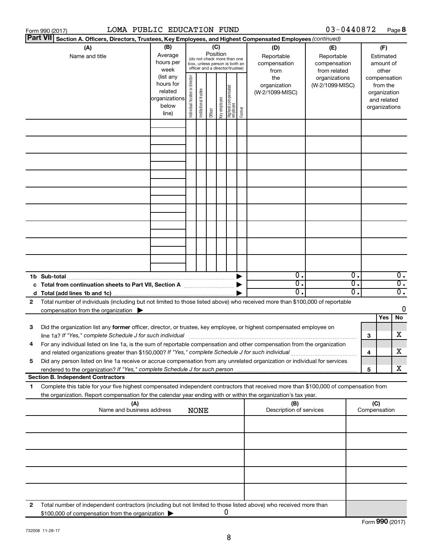|    | LOMA PUBLIC EDUCATION FUND<br>Form 990 (2017)                                                                                                                                                                                                          |                                                                      |                                |                       |         |                                                                                                                    |                                   |        |                                           | 03-0440872                                        |                        |                                                                          | Page 8                               |
|----|--------------------------------------------------------------------------------------------------------------------------------------------------------------------------------------------------------------------------------------------------------|----------------------------------------------------------------------|--------------------------------|-----------------------|---------|--------------------------------------------------------------------------------------------------------------------|-----------------------------------|--------|-------------------------------------------|---------------------------------------------------|------------------------|--------------------------------------------------------------------------|--------------------------------------|
|    | <b>Part VII</b><br>Section A. Officers, Directors, Trustees, Key Employees, and Highest Compensated Employees (continued)                                                                                                                              |                                                                      |                                |                       |         |                                                                                                                    |                                   |        |                                           |                                                   |                        |                                                                          |                                      |
|    | (A)<br>Name and title                                                                                                                                                                                                                                  | (B)<br>Average<br>hours per<br>week                                  |                                |                       |         | (C)<br>Position<br>(do not check more than one<br>box, unless person is both an<br>officer and a director/trustee) |                                   |        | (D)<br>Reportable<br>compensation<br>from | (E)<br>Reportable<br>compensation<br>from related |                        | (F)<br>Estimated<br>amount of<br>other                                   |                                      |
|    |                                                                                                                                                                                                                                                        | (list any<br>hours for<br>related<br>organizations<br>below<br>line) | Individual trustee or director | Institutional trustee | Officer | Key employee                                                                                                       | Highest compensated<br>  employee | Former | the<br>organization<br>(W-2/1099-MISC)    | organizations<br>(W-2/1099-MISC)                  |                        | compensation<br>from the<br>organization<br>and related<br>organizations |                                      |
|    |                                                                                                                                                                                                                                                        |                                                                      |                                |                       |         |                                                                                                                    |                                   |        |                                           |                                                   |                        |                                                                          |                                      |
|    |                                                                                                                                                                                                                                                        |                                                                      |                                |                       |         |                                                                                                                    |                                   |        |                                           |                                                   |                        |                                                                          |                                      |
|    |                                                                                                                                                                                                                                                        |                                                                      |                                |                       |         |                                                                                                                    |                                   |        |                                           |                                                   |                        |                                                                          |                                      |
|    |                                                                                                                                                                                                                                                        |                                                                      |                                |                       |         |                                                                                                                    |                                   |        |                                           |                                                   |                        |                                                                          |                                      |
|    |                                                                                                                                                                                                                                                        |                                                                      |                                |                       |         |                                                                                                                    |                                   |        |                                           |                                                   |                        |                                                                          |                                      |
|    |                                                                                                                                                                                                                                                        |                                                                      |                                |                       |         |                                                                                                                    |                                   |        |                                           |                                                   |                        |                                                                          |                                      |
|    |                                                                                                                                                                                                                                                        |                                                                      |                                |                       |         |                                                                                                                    |                                   |        |                                           |                                                   |                        |                                                                          |                                      |
|    | 1b Sub-total                                                                                                                                                                                                                                           |                                                                      |                                |                       |         |                                                                                                                    |                                   |        | $\overline{\mathbf{0}}$ .                 |                                                   | 0.                     |                                                                          | $\overline{0}$ .                     |
|    | c Total from continuation sheets to Part VII, Section A manufactured by                                                                                                                                                                                |                                                                      |                                |                       |         |                                                                                                                    |                                   |        | $\overline{0}$ .<br>0.                    |                                                   | 0.<br>$\overline{0}$ . |                                                                          | $\overline{0}$ .<br>$\overline{0}$ . |
| 2  | Total number of individuals (including but not limited to those listed above) who received more than \$100,000 of reportable                                                                                                                           |                                                                      |                                |                       |         |                                                                                                                    |                                   |        |                                           |                                                   |                        |                                                                          |                                      |
|    | compensation from the organization $\blacktriangleright$                                                                                                                                                                                               |                                                                      |                                |                       |         |                                                                                                                    |                                   |        |                                           |                                                   |                        |                                                                          | 0                                    |
|    |                                                                                                                                                                                                                                                        |                                                                      |                                |                       |         |                                                                                                                    |                                   |        |                                           |                                                   |                        | Yes                                                                      | No                                   |
| 3  | Did the organization list any former officer, director, or trustee, key employee, or highest compensated employee on                                                                                                                                   |                                                                      |                                |                       |         |                                                                                                                    |                                   |        |                                           |                                                   |                        |                                                                          | х                                    |
|    | line 1a? If "Yes," complete Schedule J for such individual manufactured content to the set of the set of the s<br>For any individual listed on line 1a, is the sum of reportable compensation and other compensation from the organization             |                                                                      |                                |                       |         |                                                                                                                    |                                   |        |                                           |                                                   | з                      |                                                                          |                                      |
|    | and related organizations greater than \$150,000? If "Yes," complete Schedule J for such individual                                                                                                                                                    |                                                                      |                                |                       |         |                                                                                                                    |                                   |        |                                           |                                                   | 4                      |                                                                          | x                                    |
| 5  | Did any person listed on line 1a receive or accrue compensation from any unrelated organization or individual for services                                                                                                                             |                                                                      |                                |                       |         |                                                                                                                    |                                   |        |                                           |                                                   |                        |                                                                          |                                      |
|    | <b>Section B. Independent Contractors</b>                                                                                                                                                                                                              |                                                                      |                                |                       |         |                                                                                                                    |                                   |        |                                           |                                                   | 5                      |                                                                          | х                                    |
| 1. | Complete this table for your five highest compensated independent contractors that received more than \$100,000 of compensation from<br>the organization. Report compensation for the calendar year ending with or within the organization's tax year. |                                                                      |                                |                       |         |                                                                                                                    |                                   |        |                                           |                                                   |                        |                                                                          |                                      |
|    | (A)<br>Name and business address                                                                                                                                                                                                                       |                                                                      |                                | <b>NONE</b>           |         |                                                                                                                    |                                   |        | (B)<br>Description of services            |                                                   |                        | (C)<br>Compensation                                                      |                                      |
|    |                                                                                                                                                                                                                                                        |                                                                      |                                |                       |         |                                                                                                                    |                                   |        |                                           |                                                   |                        |                                                                          |                                      |
|    |                                                                                                                                                                                                                                                        |                                                                      |                                |                       |         |                                                                                                                    |                                   |        |                                           |                                                   |                        |                                                                          |                                      |
|    |                                                                                                                                                                                                                                                        |                                                                      |                                |                       |         |                                                                                                                    |                                   |        |                                           |                                                   |                        |                                                                          |                                      |
|    |                                                                                                                                                                                                                                                        |                                                                      |                                |                       |         |                                                                                                                    |                                   |        |                                           |                                                   |                        |                                                                          |                                      |
| 2  | Total number of independent contractors (including but not limited to those listed above) who received more than<br>\$100,000 of compensation from the organization                                                                                    |                                                                      |                                |                       |         | 0                                                                                                                  |                                   |        |                                           |                                                   |                        |                                                                          |                                      |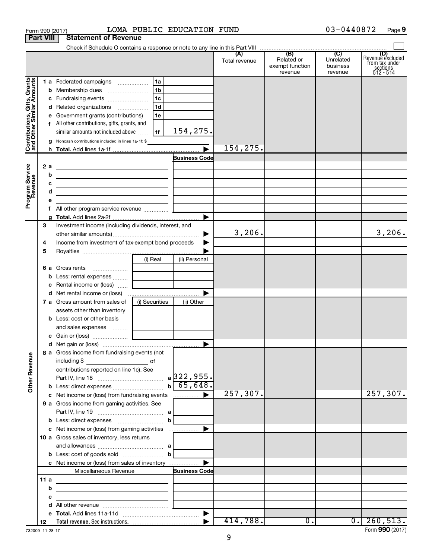|                                                                                         | <b>Part VIII</b>                  | <b>Statement of Revenue</b>                                                                                                                                                                                                                                                                                                                                                                                                                                                             |                                              |                                                                      |                      |                                                 |                                         |                                                               |
|-----------------------------------------------------------------------------------------|-----------------------------------|-----------------------------------------------------------------------------------------------------------------------------------------------------------------------------------------------------------------------------------------------------------------------------------------------------------------------------------------------------------------------------------------------------------------------------------------------------------------------------------------|----------------------------------------------|----------------------------------------------------------------------|----------------------|-------------------------------------------------|-----------------------------------------|---------------------------------------------------------------|
|                                                                                         |                                   |                                                                                                                                                                                                                                                                                                                                                                                                                                                                                         |                                              |                                                                      |                      |                                                 |                                         |                                                               |
|                                                                                         |                                   |                                                                                                                                                                                                                                                                                                                                                                                                                                                                                         |                                              |                                                                      | (A)<br>Total revenue | (B)<br>Related or<br>exempt function<br>revenue | (C)<br>Unrelated<br>business<br>revenue | Revenue excluded<br>from tax under<br>sections<br>$512 - 514$ |
| Contributions, Gifts, Grants<br>and Other Similar Amounts<br>Program Service<br>Revenue | a<br>2 a<br>b<br>с<br>d<br>е<br>f | d Related organizations<br>Government grants (contributions)<br>f All other contributions, gifts, grants, and<br>similar amounts not included above<br>Noncash contributions included in lines 1a-1f: \$<br>the contract of the contract of the contract of the contract of<br>the control of the control of the control of the control of the control of<br><u> 1989 - Johann Barbara, martxa alemaniar arg</u><br><u> 1989 - Johann Stein, mars an deus Amerikaansk kommunister (</u> | l 1b<br>l 1c<br>1 <sub>d</sub><br>1e<br>l 1f | 154,275.<br>$\overline{\blacktriangleright}$<br><b>Business Code</b> | 154,275.             |                                                 |                                         |                                                               |
|                                                                                         | 3                                 | Investment income (including dividends, interest, and                                                                                                                                                                                                                                                                                                                                                                                                                                   |                                              | $\blacktriangleright$<br>▶                                           | 3,206.               |                                                 |                                         | 3,206.                                                        |
|                                                                                         | 4<br>5                            | Income from investment of tax-exempt bond proceeds                                                                                                                                                                                                                                                                                                                                                                                                                                      |                                              |                                                                      |                      |                                                 |                                         |                                                               |
|                                                                                         | 6а<br>b<br>с                      | Gross rents<br><u> 11. martin 11. martin 12. martin 12. martin 12. martin 12. martin 12. martin 12. martin 12. martin 12. marti</u><br>Less: rental expenses   <br>Rental income or (loss)                                                                                                                                                                                                                                                                                              | (i) Real                                     | (ii) Personal                                                        |                      |                                                 |                                         |                                                               |
|                                                                                         |                                   | <b>7 a</b> Gross amount from sales of<br>assets other than inventory<br><b>b</b> Less: cost or other basis                                                                                                                                                                                                                                                                                                                                                                              | (i) Securities                               | ▶<br>(ii) Other                                                      |                      |                                                 |                                         |                                                               |
|                                                                                         |                                   |                                                                                                                                                                                                                                                                                                                                                                                                                                                                                         |                                              |                                                                      |                      |                                                 |                                         |                                                               |
| <b>Other Revenue</b>                                                                    |                                   | 8 a Gross income from fundraising events (not  <br>including \$<br>contributions reported on line 1c). See                                                                                                                                                                                                                                                                                                                                                                              | of                                           | $b \overline{65,648}$ .                                              |                      |                                                 |                                         |                                                               |
|                                                                                         |                                   | c Net income or (loss) from fundraising events<br>9 a Gross income from gaming activities. See                                                                                                                                                                                                                                                                                                                                                                                          |                                              | ▶                                                                    | 257,307.             |                                                 |                                         | 257,307.                                                      |
|                                                                                         |                                   |                                                                                                                                                                                                                                                                                                                                                                                                                                                                                         |                                              |                                                                      |                      |                                                 |                                         |                                                               |
|                                                                                         |                                   | c Net income or (loss) from gaming activities<br>10 a Gross sales of inventory, less returns<br><b>b</b> Less: cost of goods sold $\ldots$ <b>b</b><br>c Net income or (loss) from sales of inventory                                                                                                                                                                                                                                                                                   |                                              | ▶                                                                    |                      |                                                 |                                         |                                                               |
|                                                                                         |                                   | Miscellaneous Revenue                                                                                                                                                                                                                                                                                                                                                                                                                                                                   |                                              | <b>Business Code</b>                                                 |                      |                                                 |                                         |                                                               |
|                                                                                         | 11a<br>b                          | the control of the control of the control of the control of the control of                                                                                                                                                                                                                                                                                                                                                                                                              |                                              |                                                                      |                      |                                                 |                                         |                                                               |
|                                                                                         | с                                 |                                                                                                                                                                                                                                                                                                                                                                                                                                                                                         |                                              |                                                                      |                      |                                                 |                                         |                                                               |
|                                                                                         | d                                 |                                                                                                                                                                                                                                                                                                                                                                                                                                                                                         |                                              |                                                                      |                      |                                                 |                                         |                                                               |
|                                                                                         |                                   |                                                                                                                                                                                                                                                                                                                                                                                                                                                                                         |                                              |                                                                      |                      |                                                 |                                         |                                                               |
|                                                                                         | 12                                |                                                                                                                                                                                                                                                                                                                                                                                                                                                                                         |                                              |                                                                      | 414,788.             | $\overline{0}$ .                                |                                         | $0.$   260,513.                                               |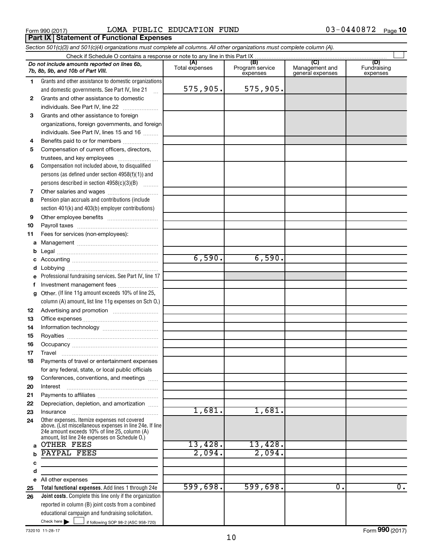**Part IX Statement of Functional Expenses** 

Form 990 (2017)  $LOMA$  PUBLIC EDUCATION FUND  $03-0440872$  Page

*Section 501(c)(3) and 501(c)(4) organizations must complete all columns. All other organizations must complete column (A).*

|          | Do not include amounts reported on lines 6b,<br>7b. 8b. 9b. and 10b of Part VIII.               | (A)<br>Total expenses | (B)<br>Program service<br>expenses | (C)<br>Management and<br>general expenses | (D)<br>Fundraising<br>expenses |
|----------|-------------------------------------------------------------------------------------------------|-----------------------|------------------------------------|-------------------------------------------|--------------------------------|
| 1.       | Grants and other assistance to domestic organizations                                           |                       |                                    |                                           |                                |
|          | and domestic governments. See Part IV, line 21                                                  | 575,905.              | 575,905.                           |                                           |                                |
| 2        | Grants and other assistance to domestic                                                         |                       |                                    |                                           |                                |
|          | individuals. See Part IV, line 22                                                               |                       |                                    |                                           |                                |
| 3        | Grants and other assistance to foreign                                                          |                       |                                    |                                           |                                |
|          | organizations, foreign governments, and foreign                                                 |                       |                                    |                                           |                                |
|          | individuals. See Part IV, lines 15 and 16                                                       |                       |                                    |                                           |                                |
| 4        | Benefits paid to or for members                                                                 |                       |                                    |                                           |                                |
| 5        | Compensation of current officers, directors,                                                    |                       |                                    |                                           |                                |
|          | trustees, and key employees                                                                     |                       |                                    |                                           |                                |
| 6        | Compensation not included above, to disqualified                                                |                       |                                    |                                           |                                |
|          | persons (as defined under section $4958(f)(1)$ ) and                                            |                       |                                    |                                           |                                |
|          | persons described in section 4958(c)(3)(B)                                                      |                       |                                    |                                           |                                |
| 7        | Other salaries and wages                                                                        |                       |                                    |                                           |                                |
| 8        | Pension plan accruals and contributions (include                                                |                       |                                    |                                           |                                |
|          | section 401(k) and 403(b) employer contributions)                                               |                       |                                    |                                           |                                |
| 9        |                                                                                                 |                       |                                    |                                           |                                |
| 10       |                                                                                                 |                       |                                    |                                           |                                |
| 11       | Fees for services (non-employees):                                                              |                       |                                    |                                           |                                |
| a        |                                                                                                 |                       |                                    |                                           |                                |
| b        |                                                                                                 |                       | 6,590.                             |                                           |                                |
|          |                                                                                                 | 6,590.                |                                    |                                           |                                |
| d        |                                                                                                 |                       |                                    |                                           |                                |
| f        | Professional fundraising services. See Part IV, line 17<br>Investment management fees           |                       |                                    |                                           |                                |
| a        | Other. (If line 11g amount exceeds 10% of line 25,                                              |                       |                                    |                                           |                                |
|          | column (A) amount, list line 11g expenses on Sch 0.)                                            |                       |                                    |                                           |                                |
| 12       |                                                                                                 |                       |                                    |                                           |                                |
| 13       |                                                                                                 |                       |                                    |                                           |                                |
| 14       |                                                                                                 |                       |                                    |                                           |                                |
| 15       |                                                                                                 |                       |                                    |                                           |                                |
| 16       |                                                                                                 |                       |                                    |                                           |                                |
| 17       | Travel                                                                                          |                       |                                    |                                           |                                |
| 18       | Payments of travel or entertainment expenses                                                    |                       |                                    |                                           |                                |
|          | for any federal, state, or local public officials                                               |                       |                                    |                                           |                                |
| 19       | Conferences, conventions, and meetings                                                          |                       |                                    |                                           |                                |
| 20       | Interest                                                                                        |                       |                                    |                                           |                                |
| 21       | Depreciation, depletion, and amortization                                                       |                       |                                    |                                           |                                |
| 22<br>23 | Insurance                                                                                       | 1,681.                | 1,681.                             |                                           |                                |
| 24       | Other expenses. Itemize expenses not covered                                                    |                       |                                    |                                           |                                |
|          | above. (List miscellaneous expenses in line 24e. If line                                        |                       |                                    |                                           |                                |
|          | 24e amount exceeds 10% of line 25, column (A)<br>amount, list line 24e expenses on Schedule O.) |                       |                                    |                                           |                                |
| a        | <b>OTHER FEES</b>                                                                               | 13,428.               | 13,428.                            |                                           |                                |
| b        | PAYPAL FEES                                                                                     | 2,094.                | 2,094.                             |                                           |                                |
| с        |                                                                                                 |                       |                                    |                                           |                                |
| d        |                                                                                                 |                       |                                    |                                           |                                |
|          | e All other expenses                                                                            |                       |                                    |                                           |                                |
| 25       | Total functional expenses. Add lines 1 through 24e                                              | 599,698.              | 599,698.                           | Ο.                                        | $\overline{0}$ .               |
| 26       | Joint costs. Complete this line only if the organization                                        |                       |                                    |                                           |                                |
|          | reported in column (B) joint costs from a combined                                              |                       |                                    |                                           |                                |
|          | educational campaign and fundraising solicitation.<br>Check here $\blacktriangleright$          |                       |                                    |                                           |                                |
|          | if following SOP 98-2 (ASC 958-720)                                                             |                       |                                    |                                           |                                |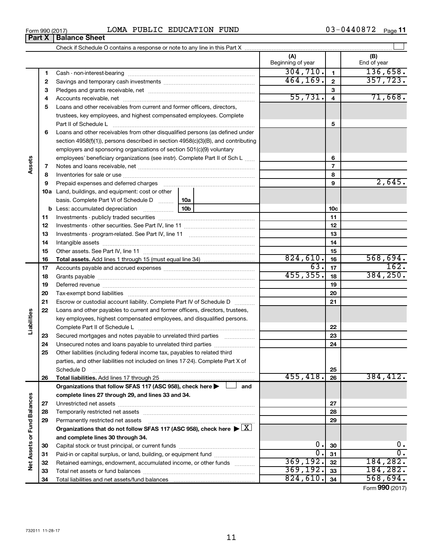| Form 990 (2017) |                               |  | LOMA PUBLIC EDUCATION | FUND | 03-0440872 | Page 11 |
|-----------------|-------------------------------|--|-----------------------|------|------------|---------|
|                 | <b>Part X   Balance Sheet</b> |  |                       |      |            |         |

|                             |          |                                                                                                                                                                                                                               | (A)<br>Beginning of year |                          | (B)<br>End of year |
|-----------------------------|----------|-------------------------------------------------------------------------------------------------------------------------------------------------------------------------------------------------------------------------------|--------------------------|--------------------------|--------------------|
|                             | 1        |                                                                                                                                                                                                                               | 304, 710.                | $\mathbf{1}$             | 136,658.           |
|                             | 2        |                                                                                                                                                                                                                               | 464, 169.                | $\mathbf{2}$             | 357,723.           |
|                             | З        |                                                                                                                                                                                                                               |                          | 3                        |                    |
|                             | 4        |                                                                                                                                                                                                                               | 55,731.                  | $\overline{4}$           | 71,668.            |
|                             | 5        | Loans and other receivables from current and former officers, directors,                                                                                                                                                      |                          |                          |                    |
|                             |          | trustees, key employees, and highest compensated employees. Complete                                                                                                                                                          |                          |                          |                    |
|                             |          | Part II of Schedule Latin and Communication of Schedule Latin and Communication of Schedule Latin and Schedule                                                                                                                |                          | 5                        |                    |
|                             | 6        | Loans and other receivables from other disqualified persons (as defined under                                                                                                                                                 |                          |                          |                    |
|                             |          | section 4958(f)(1)), persons described in section 4958(c)(3)(B), and contributing                                                                                                                                             |                          |                          |                    |
|                             |          | employers and sponsoring organizations of section 501(c)(9) voluntary                                                                                                                                                         |                          |                          |                    |
|                             |          | employees' beneficiary organizations (see instr). Complete Part II of Sch L                                                                                                                                                   |                          | 6                        |                    |
| Assets                      | 7        |                                                                                                                                                                                                                               |                          | $\overline{\phantom{a}}$ |                    |
|                             | 8        |                                                                                                                                                                                                                               |                          | 8                        |                    |
|                             | 9        | Prepaid expenses and deferred charges [11] [11] prepaid expenses and deferred charges [11] [11] minimum and the Prepaid expension of Prepaid experiment and the Prepaid experiment and the Prepaid experiment and the Prepaid |                          | 9                        | 2,645.             |
|                             |          | 10a Land, buildings, and equipment: cost or other                                                                                                                                                                             |                          |                          |                    |
|                             |          | basis. Complete Part VI of Schedule D<br>10a                                                                                                                                                                                  |                          |                          |                    |
|                             |          | 10 <sub>b</sub><br><b>b</b> Less: accumulated depreciation <i>mimimimini</i> ng                                                                                                                                               |                          | 10 <sub>c</sub>          |                    |
|                             | 11       |                                                                                                                                                                                                                               |                          | 11                       |                    |
|                             | 12       |                                                                                                                                                                                                                               |                          | 12                       |                    |
|                             | 13       |                                                                                                                                                                                                                               |                          | 13                       |                    |
|                             | 14       |                                                                                                                                                                                                                               |                          | 14                       |                    |
|                             | 15       |                                                                                                                                                                                                                               |                          | 15                       |                    |
|                             | 16       |                                                                                                                                                                                                                               | 824,610.                 | 16                       | 568,694.           |
|                             | 17       |                                                                                                                                                                                                                               | 63.                      | 17                       | 162.               |
|                             | 18       |                                                                                                                                                                                                                               | 455, 355.                | 18                       | 384, 250.          |
|                             | 19       |                                                                                                                                                                                                                               |                          | 19                       |                    |
|                             | 20       |                                                                                                                                                                                                                               |                          | 20                       |                    |
|                             | 21       | Escrow or custodial account liability. Complete Part IV of Schedule D                                                                                                                                                         |                          | 21                       |                    |
| Liabilities                 | 22       | Loans and other payables to current and former officers, directors, trustees,                                                                                                                                                 |                          |                          |                    |
|                             |          | key employees, highest compensated employees, and disqualified persons.                                                                                                                                                       |                          |                          |                    |
|                             |          |                                                                                                                                                                                                                               |                          | 22                       |                    |
|                             | 23       | Secured mortgages and notes payable to unrelated third parties                                                                                                                                                                |                          | 23                       |                    |
|                             | 24<br>25 |                                                                                                                                                                                                                               |                          | 24                       |                    |
|                             |          | Other liabilities (including federal income tax, payables to related third<br>parties, and other liabilities not included on lines 17-24). Complete Part X of                                                                 |                          |                          |                    |
|                             |          | Schedule D                                                                                                                                                                                                                    |                          | 25                       |                    |
|                             | 26       |                                                                                                                                                                                                                               | 455, 418.                | 26                       | 384, 412.          |
|                             |          | Organizations that follow SFAS 117 (ASC 958), check here ><br>and                                                                                                                                                             |                          |                          |                    |
|                             |          | complete lines 27 through 29, and lines 33 and 34.                                                                                                                                                                            |                          |                          |                    |
|                             | 27       |                                                                                                                                                                                                                               |                          | 27                       |                    |
|                             | 28       |                                                                                                                                                                                                                               |                          | 28                       |                    |
|                             | 29       | Permanently restricted net assets                                                                                                                                                                                             |                          | 29                       |                    |
|                             |          | Organizations that do not follow SFAS 117 (ASC 958), check here $\blacktriangleright \boxed{X}$                                                                                                                               |                          |                          |                    |
|                             |          | and complete lines 30 through 34.                                                                                                                                                                                             |                          |                          |                    |
|                             | 30       |                                                                                                                                                                                                                               | 0.                       | 30                       | 0.                 |
|                             | 31       | Paid-in or capital surplus, or land, building, or equipment fund                                                                                                                                                              | σ.                       | 31                       | $\overline{0}$ .   |
| Net Assets or Fund Balances | 32       | Retained earnings, endowment, accumulated income, or other funds                                                                                                                                                              | 369, 192.                | 32                       | 184,282.           |
|                             | 33       |                                                                                                                                                                                                                               | 369, 192.                | 33                       | 184,282.           |
|                             | 34       |                                                                                                                                                                                                                               | 824,610.                 | 34                       | 568,694.           |

Form (2017) **990**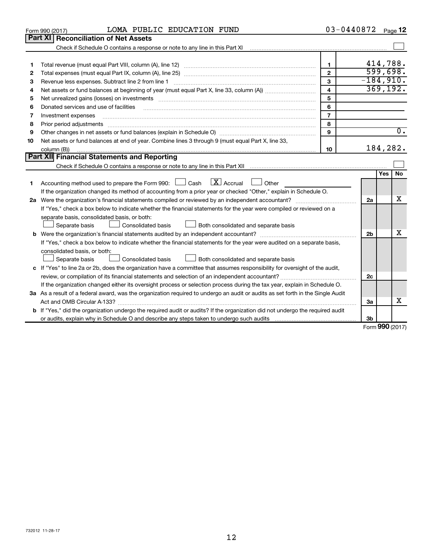| <b>Part XI</b><br><b>Reconciliation of Net Assets</b><br>Check if Schedule O contains a response or note to any line in this Part XI<br>414,788.<br>$\mathbf{1}$<br>1<br>599,698.<br>$\mathbf{2}$<br>2<br>$-184,910.$<br>3<br>Revenue less expenses. Subtract line 2 from line 1<br>З<br>369, 192.<br>$\overline{\mathbf{4}}$<br>4<br>5<br>5<br>6<br>Donated services and use of facilities<br>6<br>$\overline{7}$<br>Investment expenses<br>7<br>8<br>8<br>$\overline{0}$ .<br>9<br>9<br>Net assets or fund balances at end of year. Combine lines 3 through 9 (must equal Part X, line 33,<br>10<br>184,282.<br>column (B))<br>10<br><b>Part XII Financial Statements and Reporting</b><br>Yes<br><b>No</b><br>$\lfloor \mathbf{X} \rfloor$ Accrual<br>Accounting method used to prepare the Form 990: $\Box$ Cash<br>Other<br>1.<br>If the organization changed its method of accounting from a prior year or checked "Other," explain in Schedule O.<br>х<br>2a<br>If "Yes," check a box below to indicate whether the financial statements for the year were compiled or reviewed on a<br>separate basis, consolidated basis, or both:<br>Separate basis<br>Consolidated basis<br>Both consolidated and separate basis<br>x<br>2 <sub>b</sub><br>If "Yes," check a box below to indicate whether the financial statements for the year were audited on a separate basis,<br>consolidated basis, or both:<br>Separate basis<br><b>Consolidated basis</b><br>Both consolidated and separate basis<br>c If "Yes" to line 2a or 2b, does the organization have a committee that assumes responsibility for oversight of the audit,<br>review, or compilation of its financial statements and selection of an independent accountant?<br>2c<br>If the organization changed either its oversight process or selection process during the tax year, explain in Schedule O.<br>3a As a result of a federal award, was the organization required to undergo an audit or audits as set forth in the Single Audit<br>х<br>Act and OMB Circular A-133?<br>За<br><b>b</b> If "Yes," did the organization undergo the required audit or audits? If the organization did not undergo the required audit | LOMA PUBLIC EDUCATION FUND<br>Form 990 (2017) | 03-0440872 |    | Page 12 |
|-----------------------------------------------------------------------------------------------------------------------------------------------------------------------------------------------------------------------------------------------------------------------------------------------------------------------------------------------------------------------------------------------------------------------------------------------------------------------------------------------------------------------------------------------------------------------------------------------------------------------------------------------------------------------------------------------------------------------------------------------------------------------------------------------------------------------------------------------------------------------------------------------------------------------------------------------------------------------------------------------------------------------------------------------------------------------------------------------------------------------------------------------------------------------------------------------------------------------------------------------------------------------------------------------------------------------------------------------------------------------------------------------------------------------------------------------------------------------------------------------------------------------------------------------------------------------------------------------------------------------------------------------------------------------------------------------------------------------------------------------------------------------------------------------------------------------------------------------------------------------------------------------------------------------------------------------------------------------------------------------------------------------------------------------------------------------------------------------------------------------------------------------------------------------------------------------|-----------------------------------------------|------------|----|---------|
|                                                                                                                                                                                                                                                                                                                                                                                                                                                                                                                                                                                                                                                                                                                                                                                                                                                                                                                                                                                                                                                                                                                                                                                                                                                                                                                                                                                                                                                                                                                                                                                                                                                                                                                                                                                                                                                                                                                                                                                                                                                                                                                                                                                               |                                               |            |    |         |
|                                                                                                                                                                                                                                                                                                                                                                                                                                                                                                                                                                                                                                                                                                                                                                                                                                                                                                                                                                                                                                                                                                                                                                                                                                                                                                                                                                                                                                                                                                                                                                                                                                                                                                                                                                                                                                                                                                                                                                                                                                                                                                                                                                                               |                                               |            |    |         |
|                                                                                                                                                                                                                                                                                                                                                                                                                                                                                                                                                                                                                                                                                                                                                                                                                                                                                                                                                                                                                                                                                                                                                                                                                                                                                                                                                                                                                                                                                                                                                                                                                                                                                                                                                                                                                                                                                                                                                                                                                                                                                                                                                                                               |                                               |            |    |         |
|                                                                                                                                                                                                                                                                                                                                                                                                                                                                                                                                                                                                                                                                                                                                                                                                                                                                                                                                                                                                                                                                                                                                                                                                                                                                                                                                                                                                                                                                                                                                                                                                                                                                                                                                                                                                                                                                                                                                                                                                                                                                                                                                                                                               |                                               |            |    |         |
|                                                                                                                                                                                                                                                                                                                                                                                                                                                                                                                                                                                                                                                                                                                                                                                                                                                                                                                                                                                                                                                                                                                                                                                                                                                                                                                                                                                                                                                                                                                                                                                                                                                                                                                                                                                                                                                                                                                                                                                                                                                                                                                                                                                               |                                               |            |    |         |
|                                                                                                                                                                                                                                                                                                                                                                                                                                                                                                                                                                                                                                                                                                                                                                                                                                                                                                                                                                                                                                                                                                                                                                                                                                                                                                                                                                                                                                                                                                                                                                                                                                                                                                                                                                                                                                                                                                                                                                                                                                                                                                                                                                                               |                                               |            |    |         |
|                                                                                                                                                                                                                                                                                                                                                                                                                                                                                                                                                                                                                                                                                                                                                                                                                                                                                                                                                                                                                                                                                                                                                                                                                                                                                                                                                                                                                                                                                                                                                                                                                                                                                                                                                                                                                                                                                                                                                                                                                                                                                                                                                                                               |                                               |            |    |         |
|                                                                                                                                                                                                                                                                                                                                                                                                                                                                                                                                                                                                                                                                                                                                                                                                                                                                                                                                                                                                                                                                                                                                                                                                                                                                                                                                                                                                                                                                                                                                                                                                                                                                                                                                                                                                                                                                                                                                                                                                                                                                                                                                                                                               |                                               |            |    |         |
|                                                                                                                                                                                                                                                                                                                                                                                                                                                                                                                                                                                                                                                                                                                                                                                                                                                                                                                                                                                                                                                                                                                                                                                                                                                                                                                                                                                                                                                                                                                                                                                                                                                                                                                                                                                                                                                                                                                                                                                                                                                                                                                                                                                               |                                               |            |    |         |
|                                                                                                                                                                                                                                                                                                                                                                                                                                                                                                                                                                                                                                                                                                                                                                                                                                                                                                                                                                                                                                                                                                                                                                                                                                                                                                                                                                                                                                                                                                                                                                                                                                                                                                                                                                                                                                                                                                                                                                                                                                                                                                                                                                                               |                                               |            |    |         |
|                                                                                                                                                                                                                                                                                                                                                                                                                                                                                                                                                                                                                                                                                                                                                                                                                                                                                                                                                                                                                                                                                                                                                                                                                                                                                                                                                                                                                                                                                                                                                                                                                                                                                                                                                                                                                                                                                                                                                                                                                                                                                                                                                                                               |                                               |            |    |         |
|                                                                                                                                                                                                                                                                                                                                                                                                                                                                                                                                                                                                                                                                                                                                                                                                                                                                                                                                                                                                                                                                                                                                                                                                                                                                                                                                                                                                                                                                                                                                                                                                                                                                                                                                                                                                                                                                                                                                                                                                                                                                                                                                                                                               |                                               |            |    |         |
|                                                                                                                                                                                                                                                                                                                                                                                                                                                                                                                                                                                                                                                                                                                                                                                                                                                                                                                                                                                                                                                                                                                                                                                                                                                                                                                                                                                                                                                                                                                                                                                                                                                                                                                                                                                                                                                                                                                                                                                                                                                                                                                                                                                               |                                               |            |    |         |
|                                                                                                                                                                                                                                                                                                                                                                                                                                                                                                                                                                                                                                                                                                                                                                                                                                                                                                                                                                                                                                                                                                                                                                                                                                                                                                                                                                                                                                                                                                                                                                                                                                                                                                                                                                                                                                                                                                                                                                                                                                                                                                                                                                                               |                                               |            |    |         |
|                                                                                                                                                                                                                                                                                                                                                                                                                                                                                                                                                                                                                                                                                                                                                                                                                                                                                                                                                                                                                                                                                                                                                                                                                                                                                                                                                                                                                                                                                                                                                                                                                                                                                                                                                                                                                                                                                                                                                                                                                                                                                                                                                                                               |                                               |            |    |         |
|                                                                                                                                                                                                                                                                                                                                                                                                                                                                                                                                                                                                                                                                                                                                                                                                                                                                                                                                                                                                                                                                                                                                                                                                                                                                                                                                                                                                                                                                                                                                                                                                                                                                                                                                                                                                                                                                                                                                                                                                                                                                                                                                                                                               |                                               |            |    |         |
|                                                                                                                                                                                                                                                                                                                                                                                                                                                                                                                                                                                                                                                                                                                                                                                                                                                                                                                                                                                                                                                                                                                                                                                                                                                                                                                                                                                                                                                                                                                                                                                                                                                                                                                                                                                                                                                                                                                                                                                                                                                                                                                                                                                               |                                               |            |    |         |
|                                                                                                                                                                                                                                                                                                                                                                                                                                                                                                                                                                                                                                                                                                                                                                                                                                                                                                                                                                                                                                                                                                                                                                                                                                                                                                                                                                                                                                                                                                                                                                                                                                                                                                                                                                                                                                                                                                                                                                                                                                                                                                                                                                                               |                                               |            |    |         |
|                                                                                                                                                                                                                                                                                                                                                                                                                                                                                                                                                                                                                                                                                                                                                                                                                                                                                                                                                                                                                                                                                                                                                                                                                                                                                                                                                                                                                                                                                                                                                                                                                                                                                                                                                                                                                                                                                                                                                                                                                                                                                                                                                                                               |                                               |            |    |         |
|                                                                                                                                                                                                                                                                                                                                                                                                                                                                                                                                                                                                                                                                                                                                                                                                                                                                                                                                                                                                                                                                                                                                                                                                                                                                                                                                                                                                                                                                                                                                                                                                                                                                                                                                                                                                                                                                                                                                                                                                                                                                                                                                                                                               |                                               |            |    |         |
|                                                                                                                                                                                                                                                                                                                                                                                                                                                                                                                                                                                                                                                                                                                                                                                                                                                                                                                                                                                                                                                                                                                                                                                                                                                                                                                                                                                                                                                                                                                                                                                                                                                                                                                                                                                                                                                                                                                                                                                                                                                                                                                                                                                               |                                               |            |    |         |
|                                                                                                                                                                                                                                                                                                                                                                                                                                                                                                                                                                                                                                                                                                                                                                                                                                                                                                                                                                                                                                                                                                                                                                                                                                                                                                                                                                                                                                                                                                                                                                                                                                                                                                                                                                                                                                                                                                                                                                                                                                                                                                                                                                                               |                                               |            |    |         |
|                                                                                                                                                                                                                                                                                                                                                                                                                                                                                                                                                                                                                                                                                                                                                                                                                                                                                                                                                                                                                                                                                                                                                                                                                                                                                                                                                                                                                                                                                                                                                                                                                                                                                                                                                                                                                                                                                                                                                                                                                                                                                                                                                                                               |                                               |            |    |         |
|                                                                                                                                                                                                                                                                                                                                                                                                                                                                                                                                                                                                                                                                                                                                                                                                                                                                                                                                                                                                                                                                                                                                                                                                                                                                                                                                                                                                                                                                                                                                                                                                                                                                                                                                                                                                                                                                                                                                                                                                                                                                                                                                                                                               |                                               |            |    |         |
|                                                                                                                                                                                                                                                                                                                                                                                                                                                                                                                                                                                                                                                                                                                                                                                                                                                                                                                                                                                                                                                                                                                                                                                                                                                                                                                                                                                                                                                                                                                                                                                                                                                                                                                                                                                                                                                                                                                                                                                                                                                                                                                                                                                               |                                               |            |    |         |
|                                                                                                                                                                                                                                                                                                                                                                                                                                                                                                                                                                                                                                                                                                                                                                                                                                                                                                                                                                                                                                                                                                                                                                                                                                                                                                                                                                                                                                                                                                                                                                                                                                                                                                                                                                                                                                                                                                                                                                                                                                                                                                                                                                                               |                                               |            |    |         |
|                                                                                                                                                                                                                                                                                                                                                                                                                                                                                                                                                                                                                                                                                                                                                                                                                                                                                                                                                                                                                                                                                                                                                                                                                                                                                                                                                                                                                                                                                                                                                                                                                                                                                                                                                                                                                                                                                                                                                                                                                                                                                                                                                                                               |                                               |            |    |         |
|                                                                                                                                                                                                                                                                                                                                                                                                                                                                                                                                                                                                                                                                                                                                                                                                                                                                                                                                                                                                                                                                                                                                                                                                                                                                                                                                                                                                                                                                                                                                                                                                                                                                                                                                                                                                                                                                                                                                                                                                                                                                                                                                                                                               |                                               |            |    |         |
|                                                                                                                                                                                                                                                                                                                                                                                                                                                                                                                                                                                                                                                                                                                                                                                                                                                                                                                                                                                                                                                                                                                                                                                                                                                                                                                                                                                                                                                                                                                                                                                                                                                                                                                                                                                                                                                                                                                                                                                                                                                                                                                                                                                               |                                               |            |    |         |
|                                                                                                                                                                                                                                                                                                                                                                                                                                                                                                                                                                                                                                                                                                                                                                                                                                                                                                                                                                                                                                                                                                                                                                                                                                                                                                                                                                                                                                                                                                                                                                                                                                                                                                                                                                                                                                                                                                                                                                                                                                                                                                                                                                                               |                                               |            |    |         |
|                                                                                                                                                                                                                                                                                                                                                                                                                                                                                                                                                                                                                                                                                                                                                                                                                                                                                                                                                                                                                                                                                                                                                                                                                                                                                                                                                                                                                                                                                                                                                                                                                                                                                                                                                                                                                                                                                                                                                                                                                                                                                                                                                                                               |                                               |            |    |         |
|                                                                                                                                                                                                                                                                                                                                                                                                                                                                                                                                                                                                                                                                                                                                                                                                                                                                                                                                                                                                                                                                                                                                                                                                                                                                                                                                                                                                                                                                                                                                                                                                                                                                                                                                                                                                                                                                                                                                                                                                                                                                                                                                                                                               |                                               |            |    |         |
|                                                                                                                                                                                                                                                                                                                                                                                                                                                                                                                                                                                                                                                                                                                                                                                                                                                                                                                                                                                                                                                                                                                                                                                                                                                                                                                                                                                                                                                                                                                                                                                                                                                                                                                                                                                                                                                                                                                                                                                                                                                                                                                                                                                               |                                               |            |    |         |
| $000 \, \text{m}$                                                                                                                                                                                                                                                                                                                                                                                                                                                                                                                                                                                                                                                                                                                                                                                                                                                                                                                                                                                                                                                                                                                                                                                                                                                                                                                                                                                                                                                                                                                                                                                                                                                                                                                                                                                                                                                                                                                                                                                                                                                                                                                                                                             |                                               |            | Зb |         |

Form (2017) **990**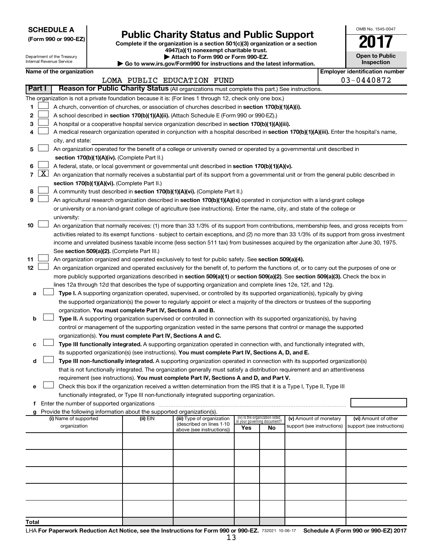| <b>SCHEDULE A</b> |  |
|-------------------|--|
|-------------------|--|

Department of the Treasury Internal Revenue Service

| (Form 990 or 990-EZ) |  |  |
|----------------------|--|--|
|                      |  |  |

# Form 990 or 990-EZ)<br>
Complete if the organization is a section 501(c)(3) organization or a section<br> **Public Charity Status and Public Support**

**4947(a)(1) nonexempt charitable trust. | Attach to Form 990 or Form 990-EZ.** 

**| Go to www.irs.gov/Form990 for instructions and the latest information.**

|  | <b>Open to Public</b><br>Inspection   |
|--|---------------------------------------|
|  | <b>Employer identification number</b> |

OMB No. 1545-0047

| Name of the organization |  |
|--------------------------|--|
|--------------------------|--|

|               |                  |                                                                                                                                                                                                                                                 |          | LOMA PUBLIC EDUCATION FUND                             |                                                                |    |                            |  | $03 - 0440872$             |  |
|---------------|------------------|-------------------------------------------------------------------------------------------------------------------------------------------------------------------------------------------------------------------------------------------------|----------|--------------------------------------------------------|----------------------------------------------------------------|----|----------------------------|--|----------------------------|--|
| <b>Part I</b> |                  | Reason for Public Charity Status (All organizations must complete this part.) See instructions.                                                                                                                                                 |          |                                                        |                                                                |    |                            |  |                            |  |
|               |                  | The organization is not a private foundation because it is: (For lines 1 through 12, check only one box.)                                                                                                                                       |          |                                                        |                                                                |    |                            |  |                            |  |
| 1             |                  | A church, convention of churches, or association of churches described in section 170(b)(1)(A)(i).                                                                                                                                              |          |                                                        |                                                                |    |                            |  |                            |  |
| 2             |                  | A school described in section 170(b)(1)(A)(ii). (Attach Schedule E (Form 990 or 990-EZ).)                                                                                                                                                       |          |                                                        |                                                                |    |                            |  |                            |  |
| 3             |                  | A hospital or a cooperative hospital service organization described in section 170(b)(1)(A)(iii).                                                                                                                                               |          |                                                        |                                                                |    |                            |  |                            |  |
| 4             |                  | A medical research organization operated in conjunction with a hospital described in section 170(b)(1)(A)(iii). Enter the hospital's name,                                                                                                      |          |                                                        |                                                                |    |                            |  |                            |  |
|               | city, and state: |                                                                                                                                                                                                                                                 |          |                                                        |                                                                |    |                            |  |                            |  |
| 5             |                  | An organization operated for the benefit of a college or university owned or operated by a governmental unit described in                                                                                                                       |          |                                                        |                                                                |    |                            |  |                            |  |
|               |                  | section 170(b)(1)(A)(iv). (Complete Part II.)                                                                                                                                                                                                   |          |                                                        |                                                                |    |                            |  |                            |  |
| 6             |                  | A federal, state, or local government or governmental unit described in section 170(b)(1)(A)(v).                                                                                                                                                |          |                                                        |                                                                |    |                            |  |                            |  |
| 7             | $\mathbf{X}$     | An organization that normally receives a substantial part of its support from a governmental unit or from the general public described in                                                                                                       |          |                                                        |                                                                |    |                            |  |                            |  |
|               |                  | section 170(b)(1)(A)(vi). (Complete Part II.)                                                                                                                                                                                                   |          |                                                        |                                                                |    |                            |  |                            |  |
| 8             |                  | A community trust described in section 170(b)(1)(A)(vi). (Complete Part II.)                                                                                                                                                                    |          |                                                        |                                                                |    |                            |  |                            |  |
| 9             |                  | An agricultural research organization described in section 170(b)(1)(A)(ix) operated in conjunction with a land-grant college                                                                                                                   |          |                                                        |                                                                |    |                            |  |                            |  |
|               |                  | or university or a non-land-grant college of agriculture (see instructions). Enter the name, city, and state of the college or                                                                                                                  |          |                                                        |                                                                |    |                            |  |                            |  |
|               |                  | university:                                                                                                                                                                                                                                     |          |                                                        |                                                                |    |                            |  |                            |  |
| 10            |                  | An organization that normally receives: (1) more than 33 1/3% of its support from contributions, membership fees, and gross receipts from                                                                                                       |          |                                                        |                                                                |    |                            |  |                            |  |
|               |                  | activities related to its exempt functions - subject to certain exceptions, and (2) no more than 33 1/3% of its support from gross investment                                                                                                   |          |                                                        |                                                                |    |                            |  |                            |  |
|               |                  | income and unrelated business taxable income (less section 511 tax) from businesses acquired by the organization after June 30, 1975.                                                                                                           |          |                                                        |                                                                |    |                            |  |                            |  |
|               |                  | See section 509(a)(2). (Complete Part III.)                                                                                                                                                                                                     |          |                                                        |                                                                |    |                            |  |                            |  |
| 11            |                  | An organization organized and operated exclusively to test for public safety. See section 509(a)(4).                                                                                                                                            |          |                                                        |                                                                |    |                            |  |                            |  |
| 12            |                  | An organization organized and operated exclusively for the benefit of, to perform the functions of, or to carry out the purposes of one or                                                                                                      |          |                                                        |                                                                |    |                            |  |                            |  |
|               |                  | more publicly supported organizations described in section 509(a)(1) or section 509(a)(2). See section 509(a)(3). Check the box in                                                                                                              |          |                                                        |                                                                |    |                            |  |                            |  |
|               |                  | lines 12a through 12d that describes the type of supporting organization and complete lines 12e, 12f, and 12g.                                                                                                                                  |          |                                                        |                                                                |    |                            |  |                            |  |
| а             |                  | Type I. A supporting organization operated, supervised, or controlled by its supported organization(s), typically by giving                                                                                                                     |          |                                                        |                                                                |    |                            |  |                            |  |
|               |                  | the supported organization(s) the power to regularly appoint or elect a majority of the directors or trustees of the supporting                                                                                                                 |          |                                                        |                                                                |    |                            |  |                            |  |
|               |                  | organization. You must complete Part IV, Sections A and B.                                                                                                                                                                                      |          |                                                        |                                                                |    |                            |  |                            |  |
| b             |                  | Type II. A supporting organization supervised or controlled in connection with its supported organization(s), by having<br>control or management of the supporting organization vested in the same persons that control or manage the supported |          |                                                        |                                                                |    |                            |  |                            |  |
|               |                  | organization(s). You must complete Part IV, Sections A and C.                                                                                                                                                                                   |          |                                                        |                                                                |    |                            |  |                            |  |
| с             |                  | Type III functionally integrated. A supporting organization operated in connection with, and functionally integrated with,                                                                                                                      |          |                                                        |                                                                |    |                            |  |                            |  |
|               |                  | its supported organization(s) (see instructions). You must complete Part IV, Sections A, D, and E.                                                                                                                                              |          |                                                        |                                                                |    |                            |  |                            |  |
| d             |                  | Type III non-functionally integrated. A supporting organization operated in connection with its supported organization(s)                                                                                                                       |          |                                                        |                                                                |    |                            |  |                            |  |
|               |                  | that is not functionally integrated. The organization generally must satisfy a distribution requirement and an attentiveness                                                                                                                    |          |                                                        |                                                                |    |                            |  |                            |  |
|               |                  | requirement (see instructions). You must complete Part IV, Sections A and D, and Part V.                                                                                                                                                        |          |                                                        |                                                                |    |                            |  |                            |  |
| е             |                  | Check this box if the organization received a written determination from the IRS that it is a Type I, Type II, Type III                                                                                                                         |          |                                                        |                                                                |    |                            |  |                            |  |
|               |                  | functionally integrated, or Type III non-functionally integrated supporting organization.                                                                                                                                                       |          |                                                        |                                                                |    |                            |  |                            |  |
|               |                  | f Enter the number of supported organizations                                                                                                                                                                                                   |          |                                                        |                                                                |    |                            |  |                            |  |
|               |                  | Provide the following information about the supported organization(s).                                                                                                                                                                          |          |                                                        |                                                                |    |                            |  |                            |  |
|               |                  | (i) Name of supported                                                                                                                                                                                                                           | (ii) EIN | (iii) Type of organization<br>(described on lines 1-10 | (iv) Is the organization listed<br>in your governing document? |    | (v) Amount of monetary     |  | (vi) Amount of other       |  |
|               |                  | organization                                                                                                                                                                                                                                    |          | above (see instructions))                              | Yes                                                            | No | support (see instructions) |  | support (see instructions) |  |
|               |                  |                                                                                                                                                                                                                                                 |          |                                                        |                                                                |    |                            |  |                            |  |
|               |                  |                                                                                                                                                                                                                                                 |          |                                                        |                                                                |    |                            |  |                            |  |
|               |                  |                                                                                                                                                                                                                                                 |          |                                                        |                                                                |    |                            |  |                            |  |
|               |                  |                                                                                                                                                                                                                                                 |          |                                                        |                                                                |    |                            |  |                            |  |
|               |                  |                                                                                                                                                                                                                                                 |          |                                                        |                                                                |    |                            |  |                            |  |
|               |                  |                                                                                                                                                                                                                                                 |          |                                                        |                                                                |    |                            |  |                            |  |
|               |                  |                                                                                                                                                                                                                                                 |          |                                                        |                                                                |    |                            |  |                            |  |
|               |                  |                                                                                                                                                                                                                                                 |          |                                                        |                                                                |    |                            |  |                            |  |
| Total         |                  |                                                                                                                                                                                                                                                 |          |                                                        |                                                                |    |                            |  |                            |  |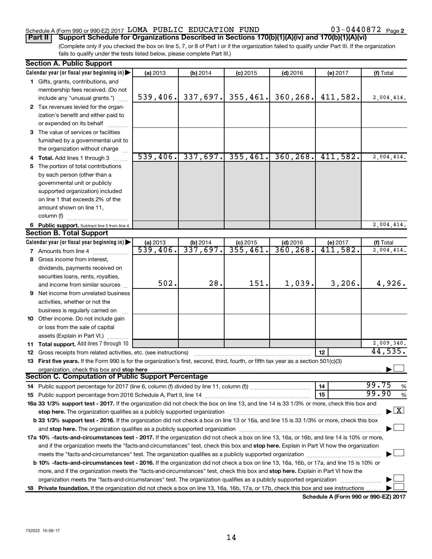### Schedule A (Form 990 or 990-EZ) 2017  $\,$  LOMA PUBLIC EDUCATION FUND  $\,$  03-0440872  $\,$  Page

(Complete only if you checked the box on line 5, 7, or 8 of Part I or if the organization failed to qualify under Part III. If the organization fails to qualify under the tests listed below, please complete Part III.) **Part II Support Schedule for Organizations Described in Sections 170(b)(1)(A)(iv) and 170(b)(1)(A)(vi)**

|    | <b>Section A. Public Support</b>                                                                                                                                                                                              |                      |                        |                       |                         |                      |                                    |
|----|-------------------------------------------------------------------------------------------------------------------------------------------------------------------------------------------------------------------------------|----------------------|------------------------|-----------------------|-------------------------|----------------------|------------------------------------|
|    | Calendar year (or fiscal year beginning in)                                                                                                                                                                                   | (a) 2013             | (b) 2014               | $(c)$ 2015            | $(d)$ 2016              | (e) 2017             | (f) Total                          |
|    | 1 Gifts, grants, contributions, and                                                                                                                                                                                           |                      |                        |                       |                         |                      |                                    |
|    | membership fees received. (Do not                                                                                                                                                                                             |                      |                        |                       |                         |                      |                                    |
|    | include any "unusual grants.")                                                                                                                                                                                                | 539,406.             | 337,697.               | 355,461.              | 360, 268.               | 411,582.             | 2,004,414.                         |
|    | 2 Tax revenues levied for the organ-                                                                                                                                                                                          |                      |                        |                       |                         |                      |                                    |
|    | ization's benefit and either paid to                                                                                                                                                                                          |                      |                        |                       |                         |                      |                                    |
|    | or expended on its behalf                                                                                                                                                                                                     |                      |                        |                       |                         |                      |                                    |
|    | 3 The value of services or facilities                                                                                                                                                                                         |                      |                        |                       |                         |                      |                                    |
|    | furnished by a governmental unit to                                                                                                                                                                                           |                      |                        |                       |                         |                      |                                    |
|    | the organization without charge                                                                                                                                                                                               |                      |                        |                       |                         |                      |                                    |
|    | 4 Total. Add lines 1 through 3                                                                                                                                                                                                | 539,406.             | 337,697.               | 355,461.              | 360, 268.               | 411,582.             | 2,004,414.                         |
|    | 5 The portion of total contributions                                                                                                                                                                                          |                      |                        |                       |                         |                      |                                    |
|    | by each person (other than a                                                                                                                                                                                                  |                      |                        |                       |                         |                      |                                    |
|    | governmental unit or publicly                                                                                                                                                                                                 |                      |                        |                       |                         |                      |                                    |
|    | supported organization) included                                                                                                                                                                                              |                      |                        |                       |                         |                      |                                    |
|    | on line 1 that exceeds 2% of the                                                                                                                                                                                              |                      |                        |                       |                         |                      |                                    |
|    | amount shown on line 11,                                                                                                                                                                                                      |                      |                        |                       |                         |                      |                                    |
|    | column (f)                                                                                                                                                                                                                    |                      |                        |                       |                         |                      |                                    |
|    |                                                                                                                                                                                                                               |                      |                        |                       |                         |                      | 2,004,414.                         |
|    | 6 Public support. Subtract line 5 from line 4.<br><b>Section B. Total Support</b>                                                                                                                                             |                      |                        |                       |                         |                      |                                    |
|    |                                                                                                                                                                                                                               |                      |                        |                       |                         |                      |                                    |
|    | Calendar year (or fiscal year beginning in)                                                                                                                                                                                   | (a) 2013<br>539,406. | $(b)$ 2014<br>337,697. | $(c)$ 2015<br>355,461 | $(d)$ 2016<br>360, 268. | (e) 2017<br>411,582. | (f) Total<br>2,004,414.            |
|    | 7 Amounts from line 4                                                                                                                                                                                                         |                      |                        |                       |                         |                      |                                    |
|    | 8 Gross income from interest,                                                                                                                                                                                                 |                      |                        |                       |                         |                      |                                    |
|    | dividends, payments received on                                                                                                                                                                                               |                      |                        |                       |                         |                      |                                    |
|    | securities loans, rents, royalties,                                                                                                                                                                                           |                      |                        |                       |                         |                      |                                    |
|    | and income from similar sources                                                                                                                                                                                               | 502.                 | 28.                    | 151.                  | 1,039.                  | 3,206.               | 4,926.                             |
|    | <b>9</b> Net income from unrelated business                                                                                                                                                                                   |                      |                        |                       |                         |                      |                                    |
|    | activities, whether or not the                                                                                                                                                                                                |                      |                        |                       |                         |                      |                                    |
|    | business is regularly carried on                                                                                                                                                                                              |                      |                        |                       |                         |                      |                                    |
|    | 10 Other income. Do not include gain                                                                                                                                                                                          |                      |                        |                       |                         |                      |                                    |
|    | or loss from the sale of capital                                                                                                                                                                                              |                      |                        |                       |                         |                      |                                    |
|    | assets (Explain in Part VI.)                                                                                                                                                                                                  |                      |                        |                       |                         |                      |                                    |
|    | 11 Total support. Add lines 7 through 10                                                                                                                                                                                      |                      |                        |                       |                         |                      | 2,009,340.                         |
|    | 12 Gross receipts from related activities, etc. (see instructions)                                                                                                                                                            |                      |                        |                       |                         | 12                   | 44,535.                            |
|    | 13 First five years. If the Form 990 is for the organization's first, second, third, fourth, or fifth tax year as a section 501(c)(3)                                                                                         |                      |                        |                       |                         |                      |                                    |
|    | organization, check this box and stop here                                                                                                                                                                                    |                      |                        |                       |                         |                      |                                    |
|    | <b>Section C. Computation of Public Support Percentage</b>                                                                                                                                                                    |                      |                        |                       |                         |                      |                                    |
|    |                                                                                                                                                                                                                               |                      |                        |                       |                         | 14                   | 99.75<br>%                         |
|    |                                                                                                                                                                                                                               |                      |                        |                       |                         | 15                   | 99.90<br>%                         |
|    | 16a 33 1/3% support test - 2017. If the organization did not check the box on line 13, and line 14 is 33 1/3% or more, check this box and                                                                                     |                      |                        |                       |                         |                      |                                    |
|    | stop here. The organization qualifies as a publicly supported organization manufaction manufacture or manufacture manufacture manufacture manufacture manufacture manufacture manufacture manufacture manufacture manufacture |                      |                        |                       |                         |                      | $\blacktriangleright$ $\mathbf{X}$ |
|    | b 33 1/3% support test - 2016. If the organization did not check a box on line 13 or 16a, and line 15 is 33 1/3% or more, check this box                                                                                      |                      |                        |                       |                         |                      |                                    |
|    |                                                                                                                                                                                                                               |                      |                        |                       |                         |                      |                                    |
|    | 17a 10% -facts-and-circumstances test - 2017. If the organization did not check a box on line 13, 16a, or 16b, and line 14 is 10% or more,                                                                                    |                      |                        |                       |                         |                      |                                    |
|    | and if the organization meets the "facts-and-circumstances" test, check this box and stop here. Explain in Part VI how the organization                                                                                       |                      |                        |                       |                         |                      |                                    |
|    |                                                                                                                                                                                                                               |                      |                        |                       |                         |                      |                                    |
|    | <b>b 10%</b> -facts-and-circumstances test - 2016. If the organization did not check a box on line 13, 16a, 16b, or 17a, and line 15 is 10% or                                                                                |                      |                        |                       |                         |                      |                                    |
|    | more, and if the organization meets the "facts-and-circumstances" test, check this box and stop here. Explain in Part VI how the                                                                                              |                      |                        |                       |                         |                      |                                    |
|    |                                                                                                                                                                                                                               |                      |                        |                       |                         |                      |                                    |
| 18 | Private foundation. If the organization did not check a box on line 13, 16a, 16b, 17a, or 17b, check this box and see instructions                                                                                            |                      |                        |                       |                         |                      |                                    |
|    |                                                                                                                                                                                                                               |                      |                        |                       |                         |                      |                                    |

**Schedule A (Form 990 or 990-EZ) 2017**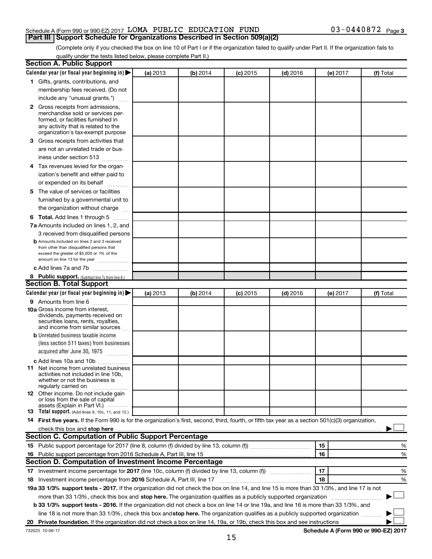### Schedule A (Form 990 or 990-EZ) 2017  $\,$  LOMA PUBLIC EDUCATION FUND  $\,$  03-0440872  $\,$  Page **Part III Support Schedule for Organizations Described in Section 509(a)(2)**

(Complete only if you checked the box on line 10 of Part I or if the organization failed to qualify under Part II. If the organization fails to qualify under the tests listed below, please complete Part II.)

| <b>Section A. Public Support</b>                                                                                                                                                                                         |          |          |            |            |          |                                      |
|--------------------------------------------------------------------------------------------------------------------------------------------------------------------------------------------------------------------------|----------|----------|------------|------------|----------|--------------------------------------|
| Calendar year (or fiscal year beginning in)                                                                                                                                                                              | (a) 2013 | (b) 2014 | $(c)$ 2015 | $(d)$ 2016 | (e) 2017 | (f) Total                            |
| 1 Gifts, grants, contributions, and                                                                                                                                                                                      |          |          |            |            |          |                                      |
| membership fees received. (Do not                                                                                                                                                                                        |          |          |            |            |          |                                      |
| include any "unusual grants.")                                                                                                                                                                                           |          |          |            |            |          |                                      |
| 2 Gross receipts from admissions,<br>merchandise sold or services per-<br>formed, or facilities furnished in<br>any activity that is related to the<br>organization's tax-exempt purpose                                 |          |          |            |            |          |                                      |
| 3 Gross receipts from activities that                                                                                                                                                                                    |          |          |            |            |          |                                      |
| are not an unrelated trade or bus-<br>iness under section 513                                                                                                                                                            |          |          |            |            |          |                                      |
| 4 Tax revenues levied for the organ-                                                                                                                                                                                     |          |          |            |            |          |                                      |
| ization's benefit and either paid to                                                                                                                                                                                     |          |          |            |            |          |                                      |
| or expended on its behalf<br>.                                                                                                                                                                                           |          |          |            |            |          |                                      |
| 5 The value of services or facilities<br>furnished by a governmental unit to                                                                                                                                             |          |          |            |            |          |                                      |
| the organization without charge                                                                                                                                                                                          |          |          |            |            |          |                                      |
| <b>6 Total.</b> Add lines 1 through 5                                                                                                                                                                                    |          |          |            |            |          |                                      |
| 7a Amounts included on lines 1, 2, and                                                                                                                                                                                   |          |          |            |            |          |                                      |
| 3 received from disqualified persons<br><b>b</b> Amounts included on lines 2 and 3 received<br>from other than disqualified persons that<br>exceed the greater of \$5,000 or 1% of the<br>amount on line 13 for the year |          |          |            |            |          |                                      |
| c Add lines 7a and 7b                                                                                                                                                                                                    |          |          |            |            |          |                                      |
| 8 Public support. (Subtract line 7c from line 6.)                                                                                                                                                                        |          |          |            |            |          |                                      |
| <b>Section B. Total Support</b>                                                                                                                                                                                          |          |          |            |            |          |                                      |
| Calendar year (or fiscal year beginning in)                                                                                                                                                                              | (a) 2013 | (b) 2014 | $(c)$ 2015 | $(d)$ 2016 | (e) 2017 | (f) Total                            |
| <b>9</b> Amounts from line 6                                                                                                                                                                                             |          |          |            |            |          |                                      |
| <b>10a</b> Gross income from interest,<br>dividends, payments received on<br>securities loans, rents, royalties,<br>and income from similar sources                                                                      |          |          |            |            |          |                                      |
| <b>b</b> Unrelated business taxable income                                                                                                                                                                               |          |          |            |            |          |                                      |
| (less section 511 taxes) from businesses<br>acquired after June 30, 1975                                                                                                                                                 |          |          |            |            |          |                                      |
| c Add lines 10a and 10b                                                                                                                                                                                                  |          |          |            |            |          |                                      |
| <b>11</b> Net income from unrelated business<br>activities not included in line 10b.<br>whether or not the business is<br>regularly carried on                                                                           |          |          |            |            |          |                                      |
| 12 Other income. Do not include gain<br>or loss from the sale of capital<br>assets (Explain in Part VI.)                                                                                                                 |          |          |            |            |          |                                      |
| <b>13</b> Total support. (Add lines 9, 10c, 11, and 12.)                                                                                                                                                                 |          |          |            |            |          |                                      |
| 14 First five years. If the Form 990 is for the organization's first, second, third, fourth, or fifth tax year as a section 501(c)(3) organization,                                                                      |          |          |            |            |          |                                      |
| check this box and stop here <i>macuum macuum macuum macuum macuum macuum macuum macuum macuum</i>                                                                                                                       |          |          |            |            |          |                                      |
| Section C. Computation of Public Support Percentage                                                                                                                                                                      |          |          |            |            |          |                                      |
|                                                                                                                                                                                                                          |          |          |            |            | 15       | %                                    |
| 16 Public support percentage from 2016 Schedule A, Part III, line 15                                                                                                                                                     |          |          |            |            | 16       | %                                    |
| Section D. Computation of Investment Income Percentage                                                                                                                                                                   |          |          |            |            |          |                                      |
|                                                                                                                                                                                                                          |          |          |            |            | 17       | %                                    |
| 18 Investment income percentage from 2016 Schedule A, Part III, line 17                                                                                                                                                  |          |          |            |            | 18       | %                                    |
| 19a 33 1/3% support tests - 2017. If the organization did not check the box on line 14, and line 15 is more than 33 1/3%, and line 17 is not                                                                             |          |          |            |            |          |                                      |
| more than 33 1/3%, check this box and stop here. The organization qualifies as a publicly supported organization                                                                                                         |          |          |            |            |          |                                      |
| b 33 1/3% support tests - 2016. If the organization did not check a box on line 14 or line 19a, and line 16 is more than 33 1/3%, and                                                                                    |          |          |            |            |          |                                      |
| line 18 is not more than 33 1/3%, check this box and stop here. The organization qualifies as a publicly supported organization                                                                                          |          |          |            |            |          |                                      |
|                                                                                                                                                                                                                          |          |          |            |            |          |                                      |
| 732023 10-06-17                                                                                                                                                                                                          |          |          |            |            |          | Schedule A (Form 990 or 990-EZ) 2017 |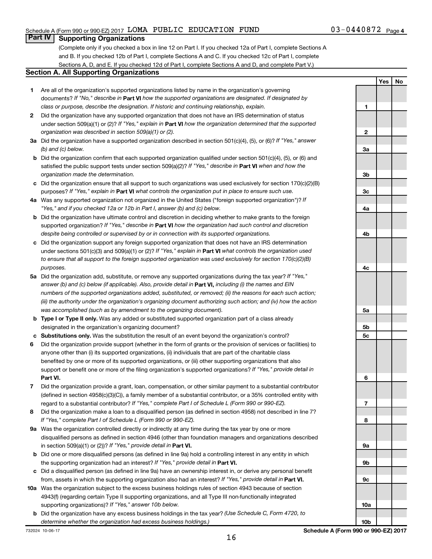**Yes No**

### **Part IV Supporting Organizations**

(Complete only if you checked a box in line 12 on Part I. If you checked 12a of Part I, complete Sections A and B. If you checked 12b of Part I, complete Sections A and C. If you checked 12c of Part I, complete Sections A, D, and E. If you checked 12d of Part I, complete Sections A and D, and complete Part V.)

### **Section A. All Supporting Organizations**

- **1** Are all of the organization's supported organizations listed by name in the organization's governing documents? If "No," describe in Part VI how the supported organizations are designated. If designated by *class or purpose, describe the designation. If historic and continuing relationship, explain.*
- **2** Did the organization have any supported organization that does not have an IRS determination of status under section 509(a)(1) or (2)? If "Yes," explain in Part **VI** how the organization determined that the supported *organization was described in section 509(a)(1) or (2).*
- **3a** Did the organization have a supported organization described in section 501(c)(4), (5), or (6)? If "Yes," answer *(b) and (c) below.*
- **b** Did the organization confirm that each supported organization qualified under section 501(c)(4), (5), or (6) and satisfied the public support tests under section 509(a)(2)? If "Yes," describe in Part VI when and how the *organization made the determination.*
- **c** Did the organization ensure that all support to such organizations was used exclusively for section 170(c)(2)(B) purposes? If "Yes," explain in Part VI what controls the organization put in place to ensure such use.
- **4 a** *If* Was any supported organization not organized in the United States ("foreign supported organization")? *"Yes," and if you checked 12a or 12b in Part I, answer (b) and (c) below.*
- **b** Did the organization have ultimate control and discretion in deciding whether to make grants to the foreign supported organization? If "Yes," describe in Part VI how the organization had such control and discretion *despite being controlled or supervised by or in connection with its supported organizations.*
- **c** Did the organization support any foreign supported organization that does not have an IRS determination under sections 501(c)(3) and 509(a)(1) or (2)? If "Yes," explain in Part VI what controls the organization used *to ensure that all support to the foreign supported organization was used exclusively for section 170(c)(2)(B) purposes.*
- **5a** Did the organization add, substitute, or remove any supported organizations during the tax year? If "Yes," answer (b) and (c) below (if applicable). Also, provide detail in **Part VI,** including (i) the names and EIN *numbers of the supported organizations added, substituted, or removed; (ii) the reasons for each such action; (iii) the authority under the organization's organizing document authorizing such action; and (iv) how the action was accomplished (such as by amendment to the organizing document).*
- **b** Type I or Type II only. Was any added or substituted supported organization part of a class already designated in the organization's organizing document?
- **c Substitutions only.**  Was the substitution the result of an event beyond the organization's control?
- **6** Did the organization provide support (whether in the form of grants or the provision of services or facilities) to **Part VI.** support or benefit one or more of the filing organization's supported organizations? If "Yes," provide detail in anyone other than (i) its supported organizations, (ii) individuals that are part of the charitable class benefited by one or more of its supported organizations, or (iii) other supporting organizations that also
- **7** Did the organization provide a grant, loan, compensation, or other similar payment to a substantial contributor regard to a substantial contributor? If "Yes," complete Part I of Schedule L (Form 990 or 990-EZ). (defined in section 4958(c)(3)(C)), a family member of a substantial contributor, or a 35% controlled entity with
- **8** Did the organization make a loan to a disqualified person (as defined in section 4958) not described in line 7? *If "Yes," complete Part I of Schedule L (Form 990 or 990-EZ).*
- **9 a** Was the organization controlled directly or indirectly at any time during the tax year by one or more in section 509(a)(1) or (2))? If "Yes," provide detail in **Part VI.** disqualified persons as defined in section 4946 (other than foundation managers and organizations described
- **b** Did one or more disqualified persons (as defined in line 9a) hold a controlling interest in any entity in which the supporting organization had an interest? If "Yes," provide detail in Part VI.
- **c** Did a disqualified person (as defined in line 9a) have an ownership interest in, or derive any personal benefit from, assets in which the supporting organization also had an interest? If "Yes," provide detail in Part VI.
- **10 a** Was the organization subject to the excess business holdings rules of section 4943 because of section supporting organizations)? If "Yes," answer 10b below. 4943(f) (regarding certain Type II supporting organizations, and all Type III non-functionally integrated
	- **b** Did the organization have any excess business holdings in the tax year? (Use Schedule C, Form 4720, to *determine whether the organization had excess business holdings.)*

**1 2 3a 3b 3c 4a 4b 4c 5a 5b 5c 6 7 8 9a 9b 9c 10a**

**10b**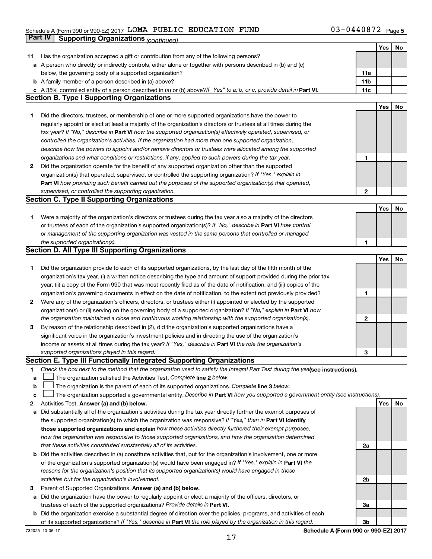### Schedule A (Form 990 or 990-EZ) 2017  $\,$  LOMA PUBLIC EDUCATION FUND  $\,$  03-0440872  $\,$  Page **Part IV Supporting Organizations** *(continued)*

|    |                                                                                                                                 |                 | Yes | No |
|----|---------------------------------------------------------------------------------------------------------------------------------|-----------------|-----|----|
| 11 | Has the organization accepted a gift or contribution from any of the following persons?                                         |                 |     |    |
|    | a A person who directly or indirectly controls, either alone or together with persons described in (b) and (c)                  |                 |     |    |
|    | below, the governing body of a supported organization?                                                                          | 11a             |     |    |
|    | <b>b</b> A family member of a person described in (a) above?                                                                    | 11 <sub>b</sub> |     |    |
|    | c A 35% controlled entity of a person described in (a) or (b) above? If "Yes" to a, b, or c, provide detail in Part VI.         | 11c             |     |    |
|    | <b>Section B. Type I Supporting Organizations</b>                                                                               |                 |     |    |
|    |                                                                                                                                 |                 | Yes | No |
| 1  | Did the directors, trustees, or membership of one or more supported organizations have the power to                             |                 |     |    |
|    | regularly appoint or elect at least a majority of the organization's directors or trustees at all times during the              |                 |     |    |
|    | tax year? If "No," describe in Part VI how the supported organization(s) effectively operated, supervised, or                   |                 |     |    |
|    | controlled the organization's activities. If the organization had more than one supported organization,                         |                 |     |    |
|    | describe how the powers to appoint and/or remove directors or trustees were allocated among the supported                       |                 |     |    |
|    | organizations and what conditions or restrictions, if any, applied to such powers during the tax year.                          | 1               |     |    |
| 2  | Did the organization operate for the benefit of any supported organization other than the supported                             |                 |     |    |
|    | organization(s) that operated, supervised, or controlled the supporting organization? If "Yes," explain in                      |                 |     |    |
|    | Part VI how providing such benefit carried out the purposes of the supported organization(s) that operated,                     |                 |     |    |
|    | supervised, or controlled the supporting organization.                                                                          | $\mathbf{2}$    |     |    |
|    | <b>Section C. Type II Supporting Organizations</b>                                                                              |                 |     |    |
|    |                                                                                                                                 |                 | Yes | No |
| 1. | Were a majority of the organization's directors or trustees during the tax year also a majority of the directors                |                 |     |    |
|    | or trustees of each of the organization's supported organization(s)? If "No," describe in Part VI how control                   |                 |     |    |
|    | or management of the supporting organization was vested in the same persons that controlled or managed                          |                 |     |    |
|    | the supported organization(s).                                                                                                  | 1               |     |    |
|    | <b>Section D. All Type III Supporting Organizations</b>                                                                         |                 |     |    |
|    |                                                                                                                                 |                 | Yes | No |
| 1  | Did the organization provide to each of its supported organizations, by the last day of the fifth month of the                  |                 |     |    |
|    | organization's tax year, (i) a written notice describing the type and amount of support provided during the prior tax           |                 |     |    |
|    | year, (ii) a copy of the Form 990 that was most recently filed as of the date of notification, and (iii) copies of the          |                 |     |    |
|    | organization's governing documents in effect on the date of notification, to the extent not previously provided?                | 1               |     |    |
| 2  | Were any of the organization's officers, directors, or trustees either (i) appointed or elected by the supported                |                 |     |    |
|    | organization(s) or (ii) serving on the governing body of a supported organization? If "No," explain in Part VI how              |                 |     |    |
|    | the organization maintained a close and continuous working relationship with the supported organization(s).                     | 2               |     |    |
| 3  | By reason of the relationship described in (2), did the organization's supported organizations have a                           |                 |     |    |
|    | significant voice in the organization's investment policies and in directing the use of the organization's                      |                 |     |    |
|    | income or assets at all times during the tax year? If "Yes," describe in Part VI the role the organization's                    |                 |     |    |
|    | supported organizations played in this regard.                                                                                  | З               |     |    |
|    | Section E. Type III Functionally Integrated Supporting Organizations                                                            |                 |     |    |
| 1  | Check the box next to the method that the organization used to satisfy the Integral Part Test during the yealsee instructions). |                 |     |    |
| а  | The organization satisfied the Activities Test. Complete line 2 below.                                                          |                 |     |    |
| b  | The organization is the parent of each of its supported organizations. Complete line 3 below.                                   |                 |     |    |
| с  | The organization supported a governmental entity. Describe in Part VI how you supported a government entity (see instructions). |                 |     |    |
| 2  | Activities Test. Answer (a) and (b) below.                                                                                      |                 | Yes | No |
| а  | Did substantially all of the organization's activities during the tax year directly further the exempt purposes of              |                 |     |    |
|    | the supported organization(s) to which the organization was responsive? If "Yes," then in Part VI identify                      |                 |     |    |
|    | those supported organizations and explain how these activities directly furthered their exempt purposes,                        |                 |     |    |
|    | how the organization was responsive to those supported organizations, and how the organization determined                       |                 |     |    |
|    | that these activities constituted substantially all of its activities.                                                          | 2a              |     |    |
| b  | Did the activities described in (a) constitute activities that, but for the organization's involvement, one or more             |                 |     |    |
|    | of the organization's supported organization(s) would have been engaged in? If "Yes," explain in Part VI the                    |                 |     |    |
|    | reasons for the organization's position that its supported organization(s) would have engaged in these                          |                 |     |    |
|    | activities but for the organization's involvement.                                                                              | 2b              |     |    |
| 3  | Parent of Supported Organizations. Answer (a) and (b) below.                                                                    |                 |     |    |
| а  | Did the organization have the power to regularly appoint or elect a majority of the officers, directors, or                     |                 |     |    |
|    | trustees of each of the supported organizations? Provide details in Part VI.                                                    | За              |     |    |
|    | <b>b</b> Did the organization exercise a substantial degree of direction over the policies, programs, and activities of each    |                 |     |    |
|    | of its supported organizations? If "Yes," describe in Part VI the role played by the organization in this regard.               | Зb              |     |    |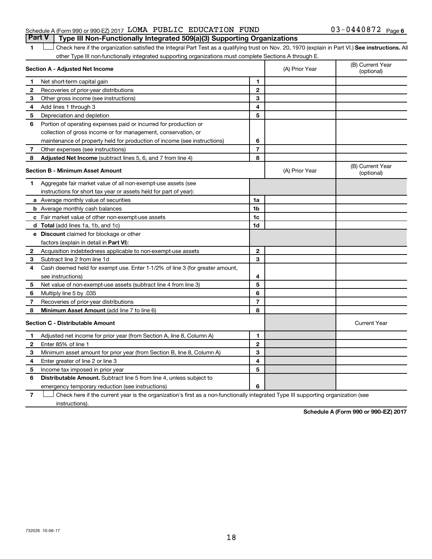### Schedule A (Form 990 or 990-EZ) 2017  $\,$  LOMA PUBLIC EDUCATION FUND  $\,$  03-0440872  $\,$  Page **Part V Type III Non-Functionally Integrated 509(a)(3) Supporting Organizations**

1 **Letter See instructions.** All Check here if the organization satisfied the Integral Part Test as a qualifying trust on Nov. 20, 1970 (explain in Part VI.) See instructions. All other Type III non-functionally integrated supporting organizations must complete Sections A through E.

|                                         | Section A - Adjusted Net Income                                              |                | (A) Prior Year | (B) Current Year<br>(optional) |
|-----------------------------------------|------------------------------------------------------------------------------|----------------|----------------|--------------------------------|
| 1                                       | Net short-term capital gain                                                  | $\blacksquare$ |                |                                |
| 2                                       | Recoveries of prior-year distributions                                       | $\mathbf{2}$   |                |                                |
| 3                                       | Other gross income (see instructions)                                        | 3              |                |                                |
| 4                                       | Add lines 1 through 3                                                        | 4              |                |                                |
| 5                                       | Depreciation and depletion                                                   | 5              |                |                                |
| 6                                       | Portion of operating expenses paid or incurred for production or             |                |                |                                |
|                                         | collection of gross income or for management, conservation, or               |                |                |                                |
|                                         | maintenance of property held for production of income (see instructions)     | 6              |                |                                |
| 7                                       | Other expenses (see instructions)                                            | $\overline{7}$ |                |                                |
| 8                                       | Adjusted Net Income (subtract lines 5, 6, and 7 from line 4)                 | 8              |                |                                |
|                                         | Section B - Minimum Asset Amount                                             |                | (A) Prior Year | (B) Current Year<br>(optional) |
| 1                                       | Aggregate fair market value of all non-exempt-use assets (see                |                |                |                                |
|                                         | instructions for short tax year or assets held for part of year):            |                |                |                                |
|                                         | a Average monthly value of securities                                        | 1a             |                |                                |
|                                         | <b>b</b> Average monthly cash balances                                       | 1 <sub>b</sub> |                |                                |
|                                         | c Fair market value of other non-exempt-use assets                           | 1c             |                |                                |
|                                         | d Total (add lines 1a, 1b, and 1c)                                           | 1d             |                |                                |
|                                         | <b>e</b> Discount claimed for blockage or other                              |                |                |                                |
|                                         | factors (explain in detail in Part VI):                                      |                |                |                                |
| $\mathbf{2}$                            | Acquisition indebtedness applicable to non-exempt-use assets                 | $\mathbf{2}$   |                |                                |
| 3                                       | Subtract line 2 from line 1d                                                 | 3              |                |                                |
| 4                                       | Cash deemed held for exempt use. Enter 1-1/2% of line 3 (for greater amount, |                |                |                                |
|                                         | see instructions)                                                            | 4              |                |                                |
| 5                                       | Net value of non-exempt-use assets (subtract line 4 from line 3)             | 5              |                |                                |
| 6                                       | Multiply line 5 by .035                                                      | 6              |                |                                |
| 7                                       | Recoveries of prior-year distributions                                       | $\overline{7}$ |                |                                |
| 8                                       | Minimum Asset Amount (add line 7 to line 6)                                  | 8              |                |                                |
| <b>Section C - Distributable Amount</b> |                                                                              |                |                | <b>Current Year</b>            |
| 1                                       | Adjusted net income for prior year (from Section A, line 8, Column A)        | $\mathbf{1}$   |                |                                |
| 2                                       | Enter 85% of line 1                                                          | $\mathbf{2}$   |                |                                |
| 3                                       | Minimum asset amount for prior year (from Section B, line 8, Column A)       | 3              |                |                                |
| 4                                       | Enter greater of line 2 or line 3                                            | 4              |                |                                |
| 5                                       | Income tax imposed in prior year                                             | 5              |                |                                |
| 6                                       | Distributable Amount. Subtract line 5 from line 4, unless subject to         |                |                |                                |
|                                         | emergency temporary reduction (see instructions)                             | 6              |                |                                |
|                                         |                                                                              |                |                |                                |

**7** Check here if the current year is the organization's first as a non-functionally integrated Type III supporting organization (see † instructions).

**Schedule A (Form 990 or 990-EZ) 2017**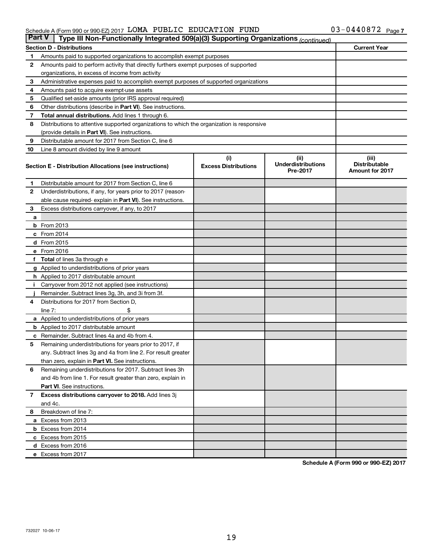### Schedule A (Form 990 or 990-EZ) 2017  $\,$  LOMA PUBLIC EDUCATION FUND  $\,$  03-0440872  $\,$  Page

| <b>Part V</b> | Type III Non-Functionally Integrated 509(a)(3) Supporting Organizations (continued)        |                                                                                      |                                       |                                                |  |  |  |  |  |
|---------------|--------------------------------------------------------------------------------------------|--------------------------------------------------------------------------------------|---------------------------------------|------------------------------------------------|--|--|--|--|--|
|               | <b>Current Year</b><br><b>Section D - Distributions</b>                                    |                                                                                      |                                       |                                                |  |  |  |  |  |
| 1             | Amounts paid to supported organizations to accomplish exempt purposes                      |                                                                                      |                                       |                                                |  |  |  |  |  |
| 2             |                                                                                            | Amounts paid to perform activity that directly furthers exempt purposes of supported |                                       |                                                |  |  |  |  |  |
|               | organizations, in excess of income from activity                                           |                                                                                      |                                       |                                                |  |  |  |  |  |
| 3             | Administrative expenses paid to accomplish exempt purposes of supported organizations      |                                                                                      |                                       |                                                |  |  |  |  |  |
| 4             | Amounts paid to acquire exempt-use assets                                                  |                                                                                      |                                       |                                                |  |  |  |  |  |
| 5             | Qualified set-aside amounts (prior IRS approval required)                                  |                                                                                      |                                       |                                                |  |  |  |  |  |
| 6             | Other distributions (describe in Part VI). See instructions.                               |                                                                                      |                                       |                                                |  |  |  |  |  |
| 7             | Total annual distributions. Add lines 1 through 6.                                         |                                                                                      |                                       |                                                |  |  |  |  |  |
| 8             | Distributions to attentive supported organizations to which the organization is responsive |                                                                                      |                                       |                                                |  |  |  |  |  |
|               | (provide details in Part VI). See instructions.                                            |                                                                                      |                                       |                                                |  |  |  |  |  |
| 9             | Distributable amount for 2017 from Section C, line 6                                       |                                                                                      |                                       |                                                |  |  |  |  |  |
| 10            | Line 8 amount divided by line 9 amount                                                     |                                                                                      |                                       |                                                |  |  |  |  |  |
|               |                                                                                            | (i)                                                                                  | (ii)                                  | (iii)                                          |  |  |  |  |  |
|               | Section E - Distribution Allocations (see instructions)                                    | <b>Excess Distributions</b>                                                          | <b>Underdistributions</b><br>Pre-2017 | <b>Distributable</b><br><b>Amount for 2017</b> |  |  |  |  |  |
| 1.            | Distributable amount for 2017 from Section C, line 6                                       |                                                                                      |                                       |                                                |  |  |  |  |  |
| $\mathbf{2}$  | Underdistributions, if any, for years prior to 2017 (reason-                               |                                                                                      |                                       |                                                |  |  |  |  |  |
|               | able cause required- explain in Part VI). See instructions.                                |                                                                                      |                                       |                                                |  |  |  |  |  |
| 3             | Excess distributions carryover, if any, to 2017                                            |                                                                                      |                                       |                                                |  |  |  |  |  |
| a             |                                                                                            |                                                                                      |                                       |                                                |  |  |  |  |  |
|               | <b>b</b> From 2013                                                                         |                                                                                      |                                       |                                                |  |  |  |  |  |
|               | c From 2014                                                                                |                                                                                      |                                       |                                                |  |  |  |  |  |
|               | d From 2015                                                                                |                                                                                      |                                       |                                                |  |  |  |  |  |
|               | e From 2016                                                                                |                                                                                      |                                       |                                                |  |  |  |  |  |
|               | f Total of lines 3a through e                                                              |                                                                                      |                                       |                                                |  |  |  |  |  |
|               | <b>g</b> Applied to underdistributions of prior years                                      |                                                                                      |                                       |                                                |  |  |  |  |  |
|               | <b>h</b> Applied to 2017 distributable amount                                              |                                                                                      |                                       |                                                |  |  |  |  |  |
|               | Carryover from 2012 not applied (see instructions)                                         |                                                                                      |                                       |                                                |  |  |  |  |  |
|               | Remainder. Subtract lines 3g, 3h, and 3i from 3f.                                          |                                                                                      |                                       |                                                |  |  |  |  |  |
| 4             | Distributions for 2017 from Section D,                                                     |                                                                                      |                                       |                                                |  |  |  |  |  |
|               | $line 7$ :                                                                                 |                                                                                      |                                       |                                                |  |  |  |  |  |
|               | a Applied to underdistributions of prior years                                             |                                                                                      |                                       |                                                |  |  |  |  |  |
|               | <b>b</b> Applied to 2017 distributable amount                                              |                                                                                      |                                       |                                                |  |  |  |  |  |
| с             | Remainder. Subtract lines 4a and 4b from 4.                                                |                                                                                      |                                       |                                                |  |  |  |  |  |
| 5             | Remaining underdistributions for years prior to 2017, if                                   |                                                                                      |                                       |                                                |  |  |  |  |  |
|               | any. Subtract lines 3g and 4a from line 2. For result greater                              |                                                                                      |                                       |                                                |  |  |  |  |  |
|               | than zero, explain in Part VI. See instructions.                                           |                                                                                      |                                       |                                                |  |  |  |  |  |
| 6             | Remaining underdistributions for 2017. Subtract lines 3h                                   |                                                                                      |                                       |                                                |  |  |  |  |  |
|               | and 4b from line 1. For result greater than zero, explain in                               |                                                                                      |                                       |                                                |  |  |  |  |  |
|               | <b>Part VI.</b> See instructions.                                                          |                                                                                      |                                       |                                                |  |  |  |  |  |
| $\mathbf{7}$  | Excess distributions carryover to 2018. Add lines 3j                                       |                                                                                      |                                       |                                                |  |  |  |  |  |
|               | and 4c.                                                                                    |                                                                                      |                                       |                                                |  |  |  |  |  |
| 8             | Breakdown of line 7:                                                                       |                                                                                      |                                       |                                                |  |  |  |  |  |
|               | a Excess from 2013                                                                         |                                                                                      |                                       |                                                |  |  |  |  |  |
|               | <b>b</b> Excess from 2014                                                                  |                                                                                      |                                       |                                                |  |  |  |  |  |
|               | c Excess from 2015                                                                         |                                                                                      |                                       |                                                |  |  |  |  |  |
|               | d Excess from 2016                                                                         |                                                                                      |                                       |                                                |  |  |  |  |  |
|               | e Excess from 2017                                                                         |                                                                                      |                                       |                                                |  |  |  |  |  |

**Schedule A (Form 990 or 990-EZ) 2017**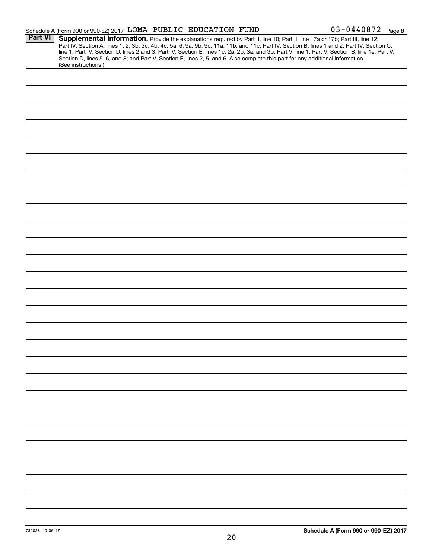|                | Schedule A (Form 990 or 990-EZ) 2017 LOMA PUBLIC EDUCATION FUND                                                                                                                                                                                                                                                                                                                                                                                                                                                                                                      |  | $03 - 0440872$ Page 8 |
|----------------|----------------------------------------------------------------------------------------------------------------------------------------------------------------------------------------------------------------------------------------------------------------------------------------------------------------------------------------------------------------------------------------------------------------------------------------------------------------------------------------------------------------------------------------------------------------------|--|-----------------------|
| <b>Part VI</b> | Supplemental Information. Provide the explanations required by Part II, line 10; Part II, line 17a or 17b; Part III, line 12;<br>Part IV, Section A, lines 1, 2, 3b, 3c, 4b, 4c, 5a, 6, 9a, 9b, 9c, 11a, 11b, and 11c; Part IV, Section B, lines 1 and 2; Part IV, Section C,<br>line 1; Part IV, Section D, lines 2 and 3; Part IV, Section E, lines 1c, 2a, 2b, 3a, and 3b; Part V, line 1; Part V, Section B, line 1e; Part V,<br>Section D, lines 5, 6, and 8; and Part V, Section E, lines 2, 5, and 6. Also complete this part for any additional information. |  |                       |
|                | (See instructions.)                                                                                                                                                                                                                                                                                                                                                                                                                                                                                                                                                  |  |                       |
|                |                                                                                                                                                                                                                                                                                                                                                                                                                                                                                                                                                                      |  |                       |
|                |                                                                                                                                                                                                                                                                                                                                                                                                                                                                                                                                                                      |  |                       |
|                |                                                                                                                                                                                                                                                                                                                                                                                                                                                                                                                                                                      |  |                       |
|                |                                                                                                                                                                                                                                                                                                                                                                                                                                                                                                                                                                      |  |                       |
|                |                                                                                                                                                                                                                                                                                                                                                                                                                                                                                                                                                                      |  |                       |
|                |                                                                                                                                                                                                                                                                                                                                                                                                                                                                                                                                                                      |  |                       |
|                |                                                                                                                                                                                                                                                                                                                                                                                                                                                                                                                                                                      |  |                       |
|                |                                                                                                                                                                                                                                                                                                                                                                                                                                                                                                                                                                      |  |                       |
|                |                                                                                                                                                                                                                                                                                                                                                                                                                                                                                                                                                                      |  |                       |
|                |                                                                                                                                                                                                                                                                                                                                                                                                                                                                                                                                                                      |  |                       |
|                |                                                                                                                                                                                                                                                                                                                                                                                                                                                                                                                                                                      |  |                       |
|                |                                                                                                                                                                                                                                                                                                                                                                                                                                                                                                                                                                      |  |                       |
|                |                                                                                                                                                                                                                                                                                                                                                                                                                                                                                                                                                                      |  |                       |
|                |                                                                                                                                                                                                                                                                                                                                                                                                                                                                                                                                                                      |  |                       |
|                |                                                                                                                                                                                                                                                                                                                                                                                                                                                                                                                                                                      |  |                       |
|                |                                                                                                                                                                                                                                                                                                                                                                                                                                                                                                                                                                      |  |                       |
|                |                                                                                                                                                                                                                                                                                                                                                                                                                                                                                                                                                                      |  |                       |
|                |                                                                                                                                                                                                                                                                                                                                                                                                                                                                                                                                                                      |  |                       |
|                |                                                                                                                                                                                                                                                                                                                                                                                                                                                                                                                                                                      |  |                       |
|                |                                                                                                                                                                                                                                                                                                                                                                                                                                                                                                                                                                      |  |                       |
|                |                                                                                                                                                                                                                                                                                                                                                                                                                                                                                                                                                                      |  |                       |
|                |                                                                                                                                                                                                                                                                                                                                                                                                                                                                                                                                                                      |  |                       |
|                |                                                                                                                                                                                                                                                                                                                                                                                                                                                                                                                                                                      |  |                       |
|                |                                                                                                                                                                                                                                                                                                                                                                                                                                                                                                                                                                      |  |                       |
|                |                                                                                                                                                                                                                                                                                                                                                                                                                                                                                                                                                                      |  |                       |
|                |                                                                                                                                                                                                                                                                                                                                                                                                                                                                                                                                                                      |  |                       |
|                |                                                                                                                                                                                                                                                                                                                                                                                                                                                                                                                                                                      |  |                       |
|                |                                                                                                                                                                                                                                                                                                                                                                                                                                                                                                                                                                      |  |                       |
|                |                                                                                                                                                                                                                                                                                                                                                                                                                                                                                                                                                                      |  |                       |
|                |                                                                                                                                                                                                                                                                                                                                                                                                                                                                                                                                                                      |  |                       |
|                |                                                                                                                                                                                                                                                                                                                                                                                                                                                                                                                                                                      |  |                       |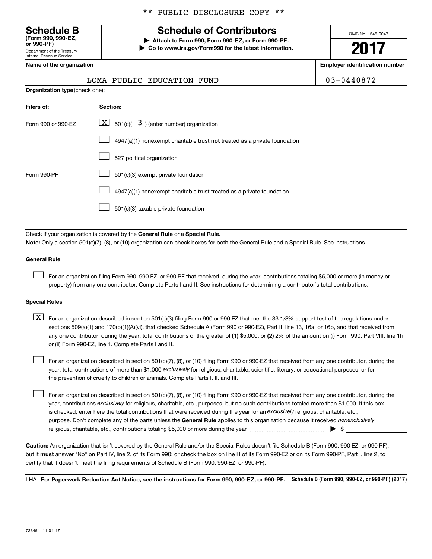Department of the Treasury Internal Revenue Service **(Form 990, 990-EZ,**

# **Schedule B Schedule of Contributors**

**or 990-PF) | Attach to Form 990, Form 990-EZ, or Form 990-PF. | Go to www.irs.gov/Form990 for the latest information.** OMB No. 1545-0047

**2017**

**Name of the organization Employer identification number**

| 03-0440872 |  |
|------------|--|
|------------|--|

|                                       | LOMA PUBLIC EDUCATION FUND                                                | 03-0440872 |
|---------------------------------------|---------------------------------------------------------------------------|------------|
| <b>Organization type (check one):</b> |                                                                           |            |
| Filers of:                            | Section:                                                                  |            |
| Form 990 or 990-FZ                    | $ \mathbf{X} $ 501(c)( 3) (enter number) organization                     |            |
|                                       | 4947(a)(1) nonexempt charitable trust not treated as a private foundation |            |
|                                       | 527 political organization                                                |            |
| Form 990-PF                           | 501(c)(3) exempt private foundation                                       |            |
|                                       | 4947(a)(1) nonexempt charitable trust treated as a private foundation     |            |

501(c)(3) taxable private foundation  $\Box$ 

Check if your organization is covered by the General Rule or a Special Rule.

**Note:**  Only a section 501(c)(7), (8), or (10) organization can check boxes for both the General Rule and a Special Rule. See instructions.

### **General Rule**

 $\Box$ 

For an organization filing Form 990, 990-EZ, or 990-PF that received, during the year, contributions totaling \$5,000 or more (in money or property) from any one contributor. Complete Parts I and II. See instructions for determining a contributor's total contributions.

### **Special Rules**

any one contributor, during the year, total contributions of the greater of (1) \$5,000; or (2) 2% of the amount on (i) Form 990, Part VIII, line 1h;  $\boxed{\text{X}}$  For an organization described in section 501(c)(3) filing Form 990 or 990-EZ that met the 33 1/3% support test of the regulations under sections 509(a)(1) and 170(b)(1)(A)(vi), that checked Schedule A (Form 990 or 990-EZ), Part II, line 13, 16a, or 16b, and that received from or (ii) Form 990-EZ, line 1. Complete Parts I and II.

year, total contributions of more than \$1,000 *exclusively* for religious, charitable, scientific, literary, or educational purposes, or for For an organization described in section 501(c)(7), (8), or (10) filing Form 990 or 990-EZ that received from any one contributor, during the the prevention of cruelty to children or animals. Complete Parts I, II, and III.  $\Box$ 

purpose. Don't complete any of the parts unless the General Rule applies to this organization because it received nonexclusively year, contributions exclusively for religious, charitable, etc., purposes, but no such contributions totaled more than \$1,000. If this box is checked, enter here the total contributions that were received during the year for an exclusively religious, charitable, etc., For an organization described in section 501(c)(7), (8), or (10) filing Form 990 or 990-EZ that received from any one contributor, during the religious, charitable, etc., contributions totaling \$5,000 or more during the year  $\ldots$  $\ldots$  $\ldots$  $\ldots$  $\ldots$  $\ldots$  $\Box$ 

**Caution:**  An organization that isn't covered by the General Rule and/or the Special Rules doesn't file Schedule B (Form 990, 990-EZ, or 990-PF),  **must** but it answer "No" on Part IV, line 2, of its Form 990; or check the box on line H of its Form 990-EZ or on its Form 990-PF, Part I, line 2, to certify that it doesn't meet the filing requirements of Schedule B (Form 990, 990-EZ, or 990-PF).

LHA For Paperwork Reduction Act Notice, see the instructions for Form 990, 990-EZ, or 990-PF. Schedule B (Form 990, 990-EZ, or 990-PF) (2017)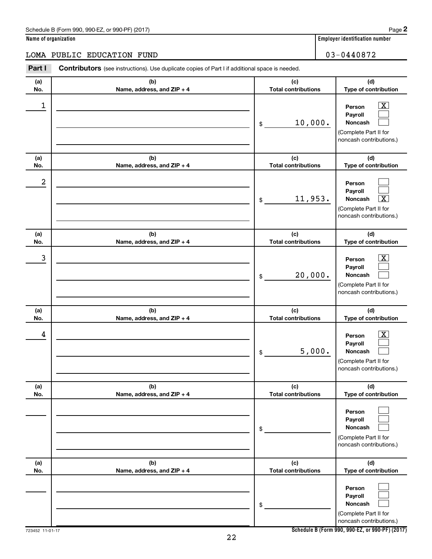### Schedule B (Form 990, 990-EZ, or 990-PF) (2017)

| Name of organization |  |
|----------------------|--|
|----------------------|--|

# LOMA PUBLIC EDUCATION FUND 03-0440872

| Part I     | Contributors (see instructions). Use duplicate copies of Part I if additional space is needed. |                                   |                                                                                                             |
|------------|------------------------------------------------------------------------------------------------|-----------------------------------|-------------------------------------------------------------------------------------------------------------|
| (a)<br>No. | (b)<br>Name, address, and ZIP + 4                                                              | (c)<br><b>Total contributions</b> | (d)<br>Type of contribution                                                                                 |
| 1          |                                                                                                | 10,000.<br>\$                     | $\boxed{\textbf{X}}$<br>Person<br>Payroll<br>Noncash<br>(Complete Part II for<br>noncash contributions.)    |
| (a)<br>No. | (b)<br>Name, address, and ZIP + 4                                                              | (c)<br><b>Total contributions</b> | (d)<br>Type of contribution                                                                                 |
| 2          |                                                                                                | 11,953.<br>\$                     | Person<br>Payroll<br>$\overline{\mathbf{x}}$<br>Noncash<br>(Complete Part II for<br>noncash contributions.) |
| (a)<br>No. | (b)<br>Name, address, and ZIP + 4                                                              | (c)<br><b>Total contributions</b> | (d)<br>Type of contribution                                                                                 |
| 3          |                                                                                                | 20,000.<br>\$                     | $\mathbf{X}$<br>Person<br>Payroll<br>Noncash<br>(Complete Part II for<br>noncash contributions.)            |
| (a)<br>No. | (b)<br>Name, address, and ZIP + 4                                                              | (c)<br><b>Total contributions</b> | (d)<br>Type of contribution                                                                                 |
| 4          |                                                                                                | 5,000.<br>\$                      | $\boxed{\textbf{X}}$<br>Person<br>Payroll<br>Noncash<br>(Complete Part II for<br>noncash contributions.)    |
| (a)<br>No. | (b)<br>Name, address, and ZIP + 4                                                              | (c)<br><b>Total contributions</b> | (d)<br>Type of contribution                                                                                 |
|            |                                                                                                | \$                                | Person<br>Payroll<br>Noncash<br>(Complete Part II for<br>noncash contributions.)                            |
| (a)<br>No. | (b)<br>Name, address, and ZIP + 4                                                              | (c)<br><b>Total contributions</b> | (d)<br>Type of contribution                                                                                 |
|            |                                                                                                | \$                                | Person<br>Payroll<br>Noncash<br>(Complete Part II for<br>noncash contributions.)                            |

**Schedule B (Form 990, 990-EZ, or 990-PF) (2017)**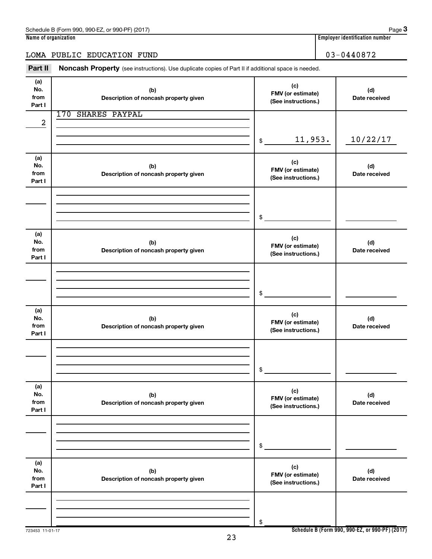|  |  | $\blacksquare$ |
|--|--|----------------|

### LOMA PUBLIC EDUCATION FUND 03-0440872

Part II Noncash Property (see instructions). Use duplicate copies of Part II if additional space is needed.

| (a)<br>No.<br>from<br>Part I | (b)<br>Description of noncash property given | (c)<br>FMV (or estimate)<br>(See instructions.) | (d)<br>Date received |
|------------------------------|----------------------------------------------|-------------------------------------------------|----------------------|
| 2                            | 170 SHARES PAYPAL                            |                                                 |                      |
|                              |                                              | 11,953.<br>\$                                   | 10/22/17             |
| (a)<br>No.<br>from<br>Part I | (b)<br>Description of noncash property given | (c)<br>FMV (or estimate)<br>(See instructions.) | (d)<br>Date received |
|                              |                                              | \$                                              |                      |
| (a)<br>No.<br>from<br>Part I | (b)<br>Description of noncash property given | (c)<br>FMV (or estimate)<br>(See instructions.) | (d)<br>Date received |
|                              |                                              | \$                                              |                      |
| (a)<br>No.<br>from<br>Part I | (b)<br>Description of noncash property given | (c)<br>FMV (or estimate)<br>(See instructions.) | (d)<br>Date received |
|                              |                                              | \$                                              |                      |
| (a)<br>No.<br>from<br>Part I | (b)<br>Description of noncash property given | (c)<br>FMV (or estimate)<br>(See instructions.) | (d)<br>Date received |
|                              |                                              | \$                                              |                      |
| (a)<br>No.<br>from<br>Part I | (b)<br>Description of noncash property given | (c)<br>FMV (or estimate)<br>(See instructions.) | (d)<br>Date received |
|                              |                                              | \$                                              |                      |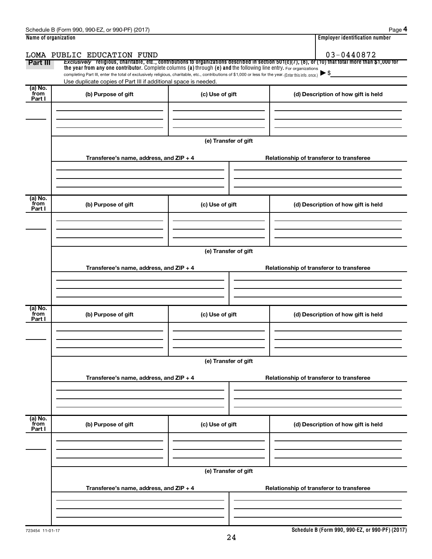| Name of organization |                                                                                                                                                          | <b>Employer identification number</b> |                                                                                                                                                          |  |  |  |  |  |
|----------------------|----------------------------------------------------------------------------------------------------------------------------------------------------------|---------------------------------------|----------------------------------------------------------------------------------------------------------------------------------------------------------|--|--|--|--|--|
|                      | LOMA PUBLIC EDUCATION FUND                                                                                                                               |                                       | 03-0440872                                                                                                                                               |  |  |  |  |  |
| Part III             | the year from any one contributor. Complete columns (a) through (e) and the following line entry. For organizations                                      |                                       | Exclusively religious, charitable, etc., contributions to organizations described in section $501(c)(7)$ , (8), or (10) that total more than \$1,000 for |  |  |  |  |  |
|                      | completing Part III, enter the total of exclusively religious, charitable, etc., contributions of \$1,000 or less for the year. (Enter this info. once.) |                                       |                                                                                                                                                          |  |  |  |  |  |
| (a) No.              | Use duplicate copies of Part III if additional space is needed.                                                                                          |                                       |                                                                                                                                                          |  |  |  |  |  |
| from<br>Part I       | (b) Purpose of gift                                                                                                                                      | (c) Use of gift                       | (d) Description of how gift is held                                                                                                                      |  |  |  |  |  |
|                      |                                                                                                                                                          |                                       |                                                                                                                                                          |  |  |  |  |  |
|                      |                                                                                                                                                          |                                       |                                                                                                                                                          |  |  |  |  |  |
|                      |                                                                                                                                                          |                                       |                                                                                                                                                          |  |  |  |  |  |
|                      |                                                                                                                                                          | (e) Transfer of gift                  |                                                                                                                                                          |  |  |  |  |  |
|                      |                                                                                                                                                          |                                       |                                                                                                                                                          |  |  |  |  |  |
|                      | Transferee's name, address, and ZIP + 4                                                                                                                  |                                       | Relationship of transferor to transferee                                                                                                                 |  |  |  |  |  |
|                      |                                                                                                                                                          |                                       |                                                                                                                                                          |  |  |  |  |  |
|                      |                                                                                                                                                          |                                       |                                                                                                                                                          |  |  |  |  |  |
|                      |                                                                                                                                                          |                                       |                                                                                                                                                          |  |  |  |  |  |
| (a) No.              |                                                                                                                                                          |                                       |                                                                                                                                                          |  |  |  |  |  |
| from<br>Part I       | (b) Purpose of gift                                                                                                                                      | (c) Use of gift                       | (d) Description of how gift is held                                                                                                                      |  |  |  |  |  |
|                      |                                                                                                                                                          |                                       |                                                                                                                                                          |  |  |  |  |  |
|                      |                                                                                                                                                          |                                       |                                                                                                                                                          |  |  |  |  |  |
|                      |                                                                                                                                                          |                                       |                                                                                                                                                          |  |  |  |  |  |
|                      | (e) Transfer of gift                                                                                                                                     |                                       |                                                                                                                                                          |  |  |  |  |  |
|                      |                                                                                                                                                          |                                       |                                                                                                                                                          |  |  |  |  |  |
|                      | Transferee's name, address, and ZIP + 4                                                                                                                  |                                       | Relationship of transferor to transferee                                                                                                                 |  |  |  |  |  |
|                      |                                                                                                                                                          |                                       |                                                                                                                                                          |  |  |  |  |  |
|                      |                                                                                                                                                          |                                       |                                                                                                                                                          |  |  |  |  |  |
| (a) No.              |                                                                                                                                                          |                                       |                                                                                                                                                          |  |  |  |  |  |
| from<br>Part I       | (b) Purpose of gift                                                                                                                                      | (c) Use of gift                       | (d) Description of how gift is held                                                                                                                      |  |  |  |  |  |
|                      |                                                                                                                                                          |                                       |                                                                                                                                                          |  |  |  |  |  |
|                      |                                                                                                                                                          |                                       |                                                                                                                                                          |  |  |  |  |  |
|                      |                                                                                                                                                          |                                       |                                                                                                                                                          |  |  |  |  |  |
|                      |                                                                                                                                                          | (e) Transfer of gift                  |                                                                                                                                                          |  |  |  |  |  |
|                      |                                                                                                                                                          |                                       |                                                                                                                                                          |  |  |  |  |  |
|                      | Transferee's name, address, and ZIP + 4                                                                                                                  |                                       | Relationship of transferor to transferee                                                                                                                 |  |  |  |  |  |
|                      |                                                                                                                                                          |                                       |                                                                                                                                                          |  |  |  |  |  |
|                      |                                                                                                                                                          |                                       |                                                                                                                                                          |  |  |  |  |  |
|                      |                                                                                                                                                          |                                       |                                                                                                                                                          |  |  |  |  |  |
| (a) No.<br>from      | (b) Purpose of gift                                                                                                                                      | (c) Use of gift                       | (d) Description of how gift is held                                                                                                                      |  |  |  |  |  |
| Part I               |                                                                                                                                                          |                                       |                                                                                                                                                          |  |  |  |  |  |
|                      |                                                                                                                                                          |                                       |                                                                                                                                                          |  |  |  |  |  |
|                      |                                                                                                                                                          |                                       |                                                                                                                                                          |  |  |  |  |  |
|                      |                                                                                                                                                          |                                       |                                                                                                                                                          |  |  |  |  |  |
|                      |                                                                                                                                                          | (e) Transfer of gift                  |                                                                                                                                                          |  |  |  |  |  |
|                      | Transferee's name, address, and ZIP + 4                                                                                                                  |                                       | Relationship of transferor to transferee                                                                                                                 |  |  |  |  |  |
|                      |                                                                                                                                                          |                                       |                                                                                                                                                          |  |  |  |  |  |
|                      |                                                                                                                                                          |                                       |                                                                                                                                                          |  |  |  |  |  |
|                      |                                                                                                                                                          |                                       |                                                                                                                                                          |  |  |  |  |  |
|                      |                                                                                                                                                          |                                       |                                                                                                                                                          |  |  |  |  |  |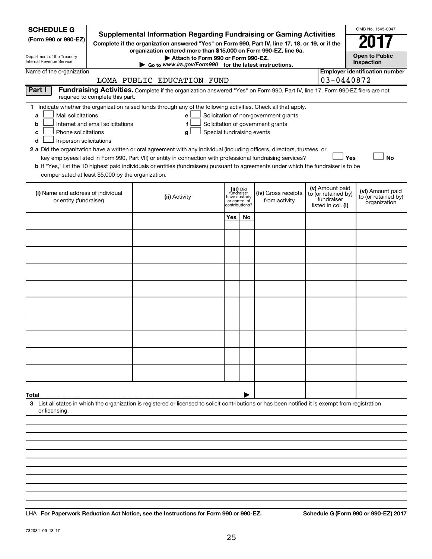| Department of the Treasury<br>Attach to Form 990 or Form 990-EZ.<br>Internal Revenue Service<br>Inspection<br>Go to www.irs.gov/Form990 for the latest instructions.                                                                                                                                                                                                                                                                                                                                                                                                                                                                                                                                                                                                                                                                                                         |  |  |  |  |  |  |  |  |  |  |
|------------------------------------------------------------------------------------------------------------------------------------------------------------------------------------------------------------------------------------------------------------------------------------------------------------------------------------------------------------------------------------------------------------------------------------------------------------------------------------------------------------------------------------------------------------------------------------------------------------------------------------------------------------------------------------------------------------------------------------------------------------------------------------------------------------------------------------------------------------------------------|--|--|--|--|--|--|--|--|--|--|
| <b>Employer identification number</b><br>Name of the organization<br>03-0440872<br>LOMA PUBLIC EDUCATION FUND                                                                                                                                                                                                                                                                                                                                                                                                                                                                                                                                                                                                                                                                                                                                                                |  |  |  |  |  |  |  |  |  |  |
| Part I<br>Fundraising Activities. Complete if the organization answered "Yes" on Form 990, Part IV, line 17. Form 990-EZ filers are not                                                                                                                                                                                                                                                                                                                                                                                                                                                                                                                                                                                                                                                                                                                                      |  |  |  |  |  |  |  |  |  |  |
| required to complete this part.<br>1 Indicate whether the organization raised funds through any of the following activities. Check all that apply.<br>Mail solicitations<br>Solicitation of non-government grants<br>a<br>e<br>Internet and email solicitations<br>f<br>Solicitation of government grants<br>b<br>Phone solicitations<br>Special fundraising events<br>с<br>g<br>In-person solicitations<br>d<br>2 a Did the organization have a written or oral agreement with any individual (including officers, directors, trustees, or<br>Yes<br><b>No</b><br>key employees listed in Form 990, Part VII) or entity in connection with professional fundraising services?<br>b If "Yes," list the 10 highest paid individuals or entities (fundraisers) pursuant to agreements under which the fundraiser is to be<br>compensated at least \$5,000 by the organization. |  |  |  |  |  |  |  |  |  |  |
| (v) Amount paid<br>(iii) Did<br>(vi) Amount paid<br>(i) Name and address of individual<br>(iv) Gross receipts<br>fundraiser<br>to (or retained by)<br>(ii) Activity<br>to (or retained by)<br>have custody<br>fundraiser<br>or entity (fundraiser)<br>from activity<br>or control of<br>organization<br>contributions?<br>listed in col. (i)                                                                                                                                                                                                                                                                                                                                                                                                                                                                                                                                 |  |  |  |  |  |  |  |  |  |  |
| Yes<br>No                                                                                                                                                                                                                                                                                                                                                                                                                                                                                                                                                                                                                                                                                                                                                                                                                                                                    |  |  |  |  |  |  |  |  |  |  |
|                                                                                                                                                                                                                                                                                                                                                                                                                                                                                                                                                                                                                                                                                                                                                                                                                                                                              |  |  |  |  |  |  |  |  |  |  |
|                                                                                                                                                                                                                                                                                                                                                                                                                                                                                                                                                                                                                                                                                                                                                                                                                                                                              |  |  |  |  |  |  |  |  |  |  |
|                                                                                                                                                                                                                                                                                                                                                                                                                                                                                                                                                                                                                                                                                                                                                                                                                                                                              |  |  |  |  |  |  |  |  |  |  |
|                                                                                                                                                                                                                                                                                                                                                                                                                                                                                                                                                                                                                                                                                                                                                                                                                                                                              |  |  |  |  |  |  |  |  |  |  |
|                                                                                                                                                                                                                                                                                                                                                                                                                                                                                                                                                                                                                                                                                                                                                                                                                                                                              |  |  |  |  |  |  |  |  |  |  |
|                                                                                                                                                                                                                                                                                                                                                                                                                                                                                                                                                                                                                                                                                                                                                                                                                                                                              |  |  |  |  |  |  |  |  |  |  |
|                                                                                                                                                                                                                                                                                                                                                                                                                                                                                                                                                                                                                                                                                                                                                                                                                                                                              |  |  |  |  |  |  |  |  |  |  |
|                                                                                                                                                                                                                                                                                                                                                                                                                                                                                                                                                                                                                                                                                                                                                                                                                                                                              |  |  |  |  |  |  |  |  |  |  |
|                                                                                                                                                                                                                                                                                                                                                                                                                                                                                                                                                                                                                                                                                                                                                                                                                                                                              |  |  |  |  |  |  |  |  |  |  |
| Total                                                                                                                                                                                                                                                                                                                                                                                                                                                                                                                                                                                                                                                                                                                                                                                                                                                                        |  |  |  |  |  |  |  |  |  |  |
| 3 List all states in which the organization is registered or licensed to solicit contributions or has been notified it is exempt from registration<br>or licensing                                                                                                                                                                                                                                                                                                                                                                                                                                                                                                                                                                                                                                                                                                           |  |  |  |  |  |  |  |  |  |  |
|                                                                                                                                                                                                                                                                                                                                                                                                                                                                                                                                                                                                                                                                                                                                                                                                                                                                              |  |  |  |  |  |  |  |  |  |  |
|                                                                                                                                                                                                                                                                                                                                                                                                                                                                                                                                                                                                                                                                                                                                                                                                                                                                              |  |  |  |  |  |  |  |  |  |  |
|                                                                                                                                                                                                                                                                                                                                                                                                                                                                                                                                                                                                                                                                                                                                                                                                                                                                              |  |  |  |  |  |  |  |  |  |  |
|                                                                                                                                                                                                                                                                                                                                                                                                                                                                                                                                                                                                                                                                                                                                                                                                                                                                              |  |  |  |  |  |  |  |  |  |  |

**For Paperwork Reduction Act Notice, see the Instructions for Form 990 or 990-EZ. Schedule G (Form 990 or 990-EZ) 2017** LHA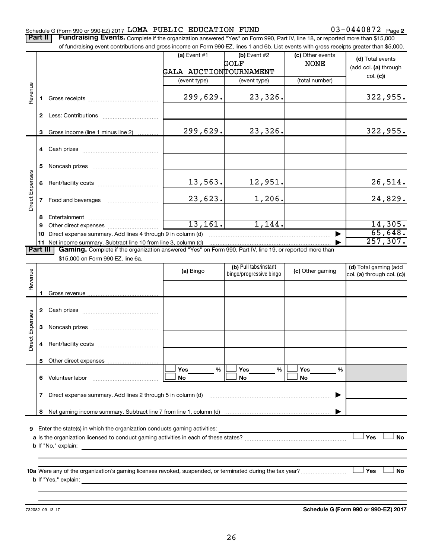### Schedule G (Form 990 or 990-EZ) 2017  $\verb|LOMA\>$   $\verb|PUBLIC\>$   $\verb|EDUCATION\>$   $\verb|FUND$   $\verb|03-0440872\>$   $\verb|Page|$

03-0440872 Page 2

Part II | Fundraising Events. Complete if the organization answered "Yes" on Form 990, Part IV, line 18, or reported more than \$15,000 of fundraising event contributions and gross income on Form 990-EZ, lines 1 and 6b. List events with gross receipts greater than \$5,000.

|                        |    | OF IDITIONS IN POSTED SHOWING THE ORIGINAL CONTRACT ON A SUBSTRAINING OF THE STATES OF SHOWING STREET IN A SUBSTRAINER ON A SUBSTRAINER ON A SUBSTRAINER ON A SUBSTRAINER ON A SUBSTRAINER ON A SUBSTRAINER ON A SUBSTRAINER O |                        |                         |                  |                            |
|------------------------|----|--------------------------------------------------------------------------------------------------------------------------------------------------------------------------------------------------------------------------------|------------------------|-------------------------|------------------|----------------------------|
|                        |    |                                                                                                                                                                                                                                | (a) Event $#1$         | $(b)$ Event #2          | (c) Other events | (d) Total events           |
|                        |    |                                                                                                                                                                                                                                | GALA AUCTIONTOURNAMENT | GOLF                    | <b>NONE</b>      | (add col. (a) through      |
|                        |    |                                                                                                                                                                                                                                | (event type)           | (event type)            | (total number)   | col. (c)                   |
|                        |    |                                                                                                                                                                                                                                |                        |                         |                  |                            |
| Revenue                | 1. |                                                                                                                                                                                                                                | 299,629.               | 23,326.                 |                  | 322, 955.                  |
|                        |    |                                                                                                                                                                                                                                |                        |                         |                  |                            |
|                        |    |                                                                                                                                                                                                                                |                        |                         |                  |                            |
|                        |    |                                                                                                                                                                                                                                | 299,629.               | 23,326.                 |                  | 322,955.                   |
|                        | 3  | Gross income (line 1 minus line 2)                                                                                                                                                                                             |                        |                         |                  |                            |
|                        |    |                                                                                                                                                                                                                                |                        |                         |                  |                            |
|                        |    |                                                                                                                                                                                                                                |                        |                         |                  |                            |
|                        | 5. |                                                                                                                                                                                                                                |                        |                         |                  |                            |
|                        |    |                                                                                                                                                                                                                                |                        |                         |                  |                            |
| Direct Expenses        |    |                                                                                                                                                                                                                                | 13,563.                | 12,951.                 |                  | 26,514.                    |
|                        |    |                                                                                                                                                                                                                                | 23,623.                | 1,206.                  |                  | 24,829.                    |
|                        |    |                                                                                                                                                                                                                                |                        |                         |                  |                            |
|                        | 8  |                                                                                                                                                                                                                                |                        |                         |                  |                            |
|                        | 9  |                                                                                                                                                                                                                                | 13, 161.               | 1,144.                  |                  | 14,305.                    |
|                        | 10 | Direct expense summary. Add lines 4 through 9 in column (d)                                                                                                                                                                    |                        |                         |                  | 65,648.<br>257, 307.       |
| <b>Part III</b>        |    | 11 Net income summary. Subtract line 10 from line 3, column (d)<br>Gaming. Complete if the organization answered "Yes" on Form 990, Part IV, line 19, or reported more than                                                    |                        |                         |                  |                            |
|                        |    | \$15,000 on Form 990-EZ, line 6a.                                                                                                                                                                                              |                        |                         |                  |                            |
|                        |    |                                                                                                                                                                                                                                | (a) Bingo              | (b) Pull tabs/instant   | (c) Other gaming | (d) Total gaming (add      |
| Revenue                |    |                                                                                                                                                                                                                                |                        | bingo/progressive bingo |                  | col. (a) through col. (c)) |
|                        |    |                                                                                                                                                                                                                                |                        |                         |                  |                            |
|                        | 1. |                                                                                                                                                                                                                                |                        |                         |                  |                            |
|                        |    |                                                                                                                                                                                                                                |                        |                         |                  |                            |
|                        |    |                                                                                                                                                                                                                                |                        |                         |                  |                            |
| <b>Direct Expenses</b> | 3  |                                                                                                                                                                                                                                |                        |                         |                  |                            |
|                        |    |                                                                                                                                                                                                                                |                        |                         |                  |                            |
|                        | 4  |                                                                                                                                                                                                                                |                        |                         |                  |                            |
|                        | 5. |                                                                                                                                                                                                                                |                        |                         |                  |                            |
|                        |    |                                                                                                                                                                                                                                | Yes<br>%               | Yes<br>%                | Yes<br>%         |                            |
|                        |    | 6 Volunteer labor                                                                                                                                                                                                              | No                     | No                      | No               |                            |
|                        |    |                                                                                                                                                                                                                                |                        |                         |                  |                            |
|                        | 7  | Direct expense summary. Add lines 2 through 5 in column (d)                                                                                                                                                                    |                        |                         |                  |                            |
|                        |    |                                                                                                                                                                                                                                |                        |                         |                  |                            |
|                        | 8  |                                                                                                                                                                                                                                |                        |                         |                  |                            |
| 9                      |    | Enter the state(s) in which the organization conducts gaming activities:                                                                                                                                                       |                        |                         |                  |                            |
|                        |    |                                                                                                                                                                                                                                |                        |                         |                  | Yes<br>No                  |
|                        |    | <b>b</b> If "No," explain:                                                                                                                                                                                                     |                        |                         |                  |                            |
|                        |    |                                                                                                                                                                                                                                |                        |                         |                  |                            |
|                        |    |                                                                                                                                                                                                                                |                        |                         |                  | Yes<br>No                  |
|                        |    | <b>b</b> If "Yes," explain:                                                                                                                                                                                                    |                        |                         |                  |                            |
|                        |    |                                                                                                                                                                                                                                |                        |                         |                  |                            |
|                        |    |                                                                                                                                                                                                                                |                        |                         |                  |                            |

732082 09-13-17

**Schedule G (Form 990 or 990-EZ) 2017**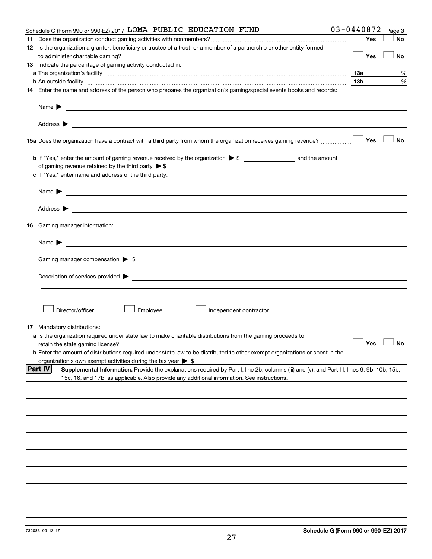| Schedule G (Form 990 or 990-EZ) 2017 LOMA PUBLIC EDUCATION FUND                                                                                                                                                                                              |                 |     | $03 - 0440872$ Page 3 |
|--------------------------------------------------------------------------------------------------------------------------------------------------------------------------------------------------------------------------------------------------------------|-----------------|-----|-----------------------|
|                                                                                                                                                                                                                                                              |                 | Yes | No                    |
| 12 Is the organization a grantor, beneficiary or trustee of a trust, or a member of a partnership or other entity formed                                                                                                                                     |                 |     |                       |
|                                                                                                                                                                                                                                                              |                 | Yes | No                    |
| 13 Indicate the percentage of gaming activity conducted in:                                                                                                                                                                                                  |                 |     |                       |
|                                                                                                                                                                                                                                                              | 13а             |     | %                     |
| <b>b</b> An outside facility <i>www.communicality www.communicality.communicality www.communicality www.communicality.communicality www.communicality.com</i>                                                                                                | 13 <sub>b</sub> |     | %                     |
| 14 Enter the name and address of the person who prepares the organization's gaming/special events books and records:                                                                                                                                         |                 |     |                       |
|                                                                                                                                                                                                                                                              |                 |     |                       |
|                                                                                                                                                                                                                                                              |                 |     |                       |
| 15a Does the organization have a contract with a third party from whom the organization receives gaming revenue?                                                                                                                                             |                 | Yes | No                    |
|                                                                                                                                                                                                                                                              |                 |     |                       |
| of gaming revenue retained by the third party $\triangleright$ \$                                                                                                                                                                                            |                 |     |                       |
| <u> 1990 - Johann Barbara, martin a</u><br>c If "Yes," enter name and address of the third party:                                                                                                                                                            |                 |     |                       |
|                                                                                                                                                                                                                                                              |                 |     |                       |
|                                                                                                                                                                                                                                                              |                 |     |                       |
|                                                                                                                                                                                                                                                              |                 |     |                       |
| 16 Gaming manager information:                                                                                                                                                                                                                               |                 |     |                       |
| Name $\blacktriangleright$<br><u> 1989 - Johann Barn, mars and de Branch Barn, mars and de Branch Barn, mars and de Branch Barn, mars and de Br</u>                                                                                                          |                 |     |                       |
|                                                                                                                                                                                                                                                              |                 |     |                       |
| Gaming manager compensation > \$                                                                                                                                                                                                                             |                 |     |                       |
|                                                                                                                                                                                                                                                              |                 |     |                       |
|                                                                                                                                                                                                                                                              |                 |     |                       |
| Director/officer<br>Employee<br>Independent contractor                                                                                                                                                                                                       |                 |     |                       |
| <b>17</b> Mandatory distributions:                                                                                                                                                                                                                           |                 |     |                       |
| a Is the organization required under state law to make charitable distributions from the gaming proceeds to                                                                                                                                                  |                 |     |                       |
|                                                                                                                                                                                                                                                              |                 |     | $\Box$ Yes $\Box$ No  |
| <b>b</b> Enter the amount of distributions required under state law to be distributed to other exempt organizations or spent in the                                                                                                                          |                 |     |                       |
| organization's own exempt activities during the tax year $\triangleright$ \$                                                                                                                                                                                 |                 |     |                       |
| <b>Part IV</b><br>Supplemental Information. Provide the explanations required by Part I, line 2b, columns (iii) and (v); and Part III, lines 9, 9b, 10b, 15b,<br>15c, 16, and 17b, as applicable. Also provide any additional information. See instructions. |                 |     |                       |
|                                                                                                                                                                                                                                                              |                 |     |                       |
|                                                                                                                                                                                                                                                              |                 |     |                       |
|                                                                                                                                                                                                                                                              |                 |     |                       |
|                                                                                                                                                                                                                                                              |                 |     |                       |
|                                                                                                                                                                                                                                                              |                 |     |                       |
|                                                                                                                                                                                                                                                              |                 |     |                       |
|                                                                                                                                                                                                                                                              |                 |     |                       |
|                                                                                                                                                                                                                                                              |                 |     |                       |
|                                                                                                                                                                                                                                                              |                 |     |                       |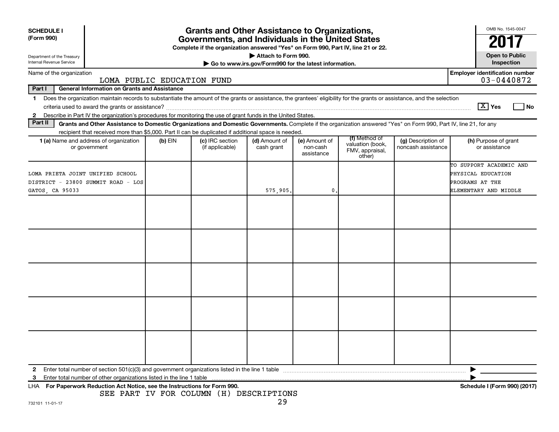| <b>SCHEDULE I</b><br>(Form 990)                                                                                                                                                                                                                                                                            |           | <b>Grants and Other Assistance to Organizations,</b><br>Governments, and Individuals in the United States |                                                                              |                                         |                                                                |                                          | OMB No. 1545-0047                                                                         |
|------------------------------------------------------------------------------------------------------------------------------------------------------------------------------------------------------------------------------------------------------------------------------------------------------------|-----------|-----------------------------------------------------------------------------------------------------------|------------------------------------------------------------------------------|-----------------------------------------|----------------------------------------------------------------|------------------------------------------|-------------------------------------------------------------------------------------------|
|                                                                                                                                                                                                                                                                                                            |           | Complete if the organization answered "Yes" on Form 990, Part IV, line 21 or 22.                          |                                                                              |                                         |                                                                |                                          |                                                                                           |
| Department of the Treasury<br>Internal Revenue Service                                                                                                                                                                                                                                                     |           |                                                                                                           | Attach to Form 990.<br>Go to www.irs.gov/Form990 for the latest information. |                                         |                                                                |                                          | <b>Open to Public</b><br>Inspection                                                       |
| Name of the organization<br>LOMA PUBLIC EDUCATION FUND                                                                                                                                                                                                                                                     |           |                                                                                                           |                                                                              |                                         |                                                                |                                          | <b>Employer identification number</b><br>03-0440872                                       |
| Part I<br><b>General Information on Grants and Assistance</b>                                                                                                                                                                                                                                              |           |                                                                                                           |                                                                              |                                         |                                                                |                                          |                                                                                           |
| Does the organization maintain records to substantiate the amount of the grants or assistance, the grantees' eligibility for the grants or assistance, and the selection<br>$\mathbf 1$<br>2 Describe in Part IV the organization's procedures for monitoring the use of grant funds in the United States. |           |                                                                                                           |                                                                              |                                         |                                                                |                                          | $ \mathbf{X} $ Yes<br>l No                                                                |
| Part II<br>Grants and Other Assistance to Domestic Organizations and Domestic Governments. Complete if the organization answered "Yes" on Form 990, Part IV, line 21, for any                                                                                                                              |           |                                                                                                           |                                                                              |                                         |                                                                |                                          |                                                                                           |
| recipient that received more than \$5,000. Part II can be duplicated if additional space is needed.                                                                                                                                                                                                        |           |                                                                                                           |                                                                              |                                         |                                                                |                                          |                                                                                           |
| 1 (a) Name and address of organization<br>or government                                                                                                                                                                                                                                                    | $(b)$ EIN | (c) IRC section<br>(if applicable)                                                                        | (d) Amount of<br>cash grant                                                  | (e) Amount of<br>non-cash<br>assistance | (f) Method of<br>valuation (book,<br>FMV, appraisal,<br>other) | (g) Description of<br>noncash assistance | (h) Purpose of grant<br>or assistance                                                     |
| LOMA PRIETA JOINT UNIFIED SCHOOL<br>DISTRICT - 23800 SUMMIT ROAD - LOS<br>GATOS, CA 95033                                                                                                                                                                                                                  |           |                                                                                                           | 575,905.                                                                     | 0                                       |                                                                |                                          | TO SUPPORT ACADEMIC AND<br>PHYSICAL EDUCATION<br>PROGRAMS AT THE<br>ELEMENTARY AND MIDDLE |
|                                                                                                                                                                                                                                                                                                            |           |                                                                                                           |                                                                              |                                         |                                                                |                                          |                                                                                           |
|                                                                                                                                                                                                                                                                                                            |           |                                                                                                           |                                                                              |                                         |                                                                |                                          |                                                                                           |
|                                                                                                                                                                                                                                                                                                            |           |                                                                                                           |                                                                              |                                         |                                                                |                                          |                                                                                           |
|                                                                                                                                                                                                                                                                                                            |           |                                                                                                           |                                                                              |                                         |                                                                |                                          |                                                                                           |
|                                                                                                                                                                                                                                                                                                            |           |                                                                                                           |                                                                              |                                         |                                                                |                                          |                                                                                           |
| Enter total number of section 501(c)(3) and government organizations listed in the line 1 table<br>$\mathbf{2}$<br>Enter total number of other organizations listed in the line 1 table<br>з<br>For Paperwork Reduction Act Notice, see the Instructions for Form 990.<br>LHA                              |           |                                                                                                           |                                                                              |                                         |                                                                |                                          | Schedule I (Form 990) (2017)                                                              |

SEE PART IV FOR COLUMN (H) DESCRIPTIONS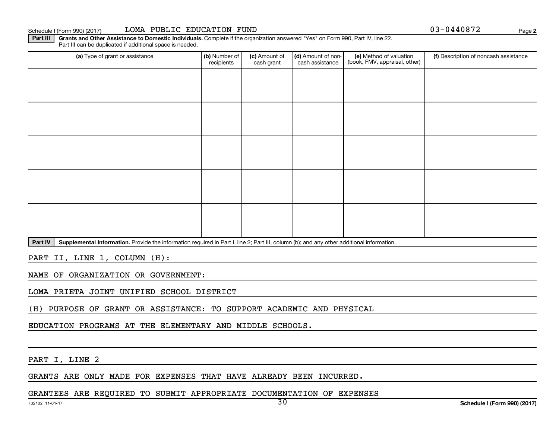#### Schedule I (Form 990) (2017)

| LOMA PUBLIC EDUCATION FUND |  |  |
|----------------------------|--|--|
|----------------------------|--|--|

03-0440872

**2**

Part III | Grants and Other Assistance to Domestic Individuals. Complete if the organization answered "Yes" on Form 990, Part IV, line 22. Part III can be duplicated if additional space is needed.

| (a) Type of grant or assistance | (b) Number of<br>recipients | (c) Amount of<br>cash grant | (d) Amount of non-<br>cash assistance | (e) Method of valuation<br>(book, FMV, appraisal, other) | (f) Description of noncash assistance |
|---------------------------------|-----------------------------|-----------------------------|---------------------------------------|----------------------------------------------------------|---------------------------------------|
|                                 |                             |                             |                                       |                                                          |                                       |
|                                 |                             |                             |                                       |                                                          |                                       |
|                                 |                             |                             |                                       |                                                          |                                       |
|                                 |                             |                             |                                       |                                                          |                                       |
|                                 |                             |                             |                                       |                                                          |                                       |
|                                 |                             |                             |                                       |                                                          |                                       |
|                                 |                             |                             |                                       |                                                          |                                       |
|                                 |                             |                             |                                       |                                                          |                                       |
|                                 |                             |                             |                                       |                                                          |                                       |
|                                 |                             |                             |                                       |                                                          |                                       |

Part IV | Supplemental Information. Provide the information required in Part I, line 2; Part III, column (b); and any other additional information.

PART II, LINE 1, COLUMN (H):

NAME OF ORGANIZATION OR GOVERNMENT:

LOMA PRIETA JOINT UNIFIED SCHOOL DISTRICT

(H) PURPOSE OF GRANT OR ASSISTANCE: TO SUPPORT ACADEMIC AND PHYSICAL

EDUCATION PROGRAMS AT THE ELEMENTARY AND MIDDLE SCHOOLS.

PART I, LINE 2

GRANTS ARE ONLY MADE FOR EXPENSES THAT HAVE ALREADY BEEN INCURRED.

GRANTEES ARE REQUIRED TO SUBMIT APPROPRIATE DOCUMENTATION OF EXPENSES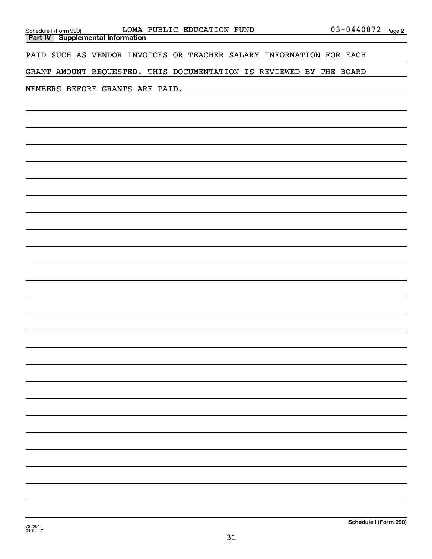| <u>Schedule I (Form 990)</u> |  |
|------------------------------|--|

**Part IV Supplemental Information**

PAID SUCH AS VENDOR INVOICES OR TEACHER SALARY INFORMATION FOR EACH

GRANT AMOUNT REQUESTED. THIS DOCUMENTATION IS REVIEWED BY THE BOARD

MEMBERS BEFORE GRANTS ARE PAID.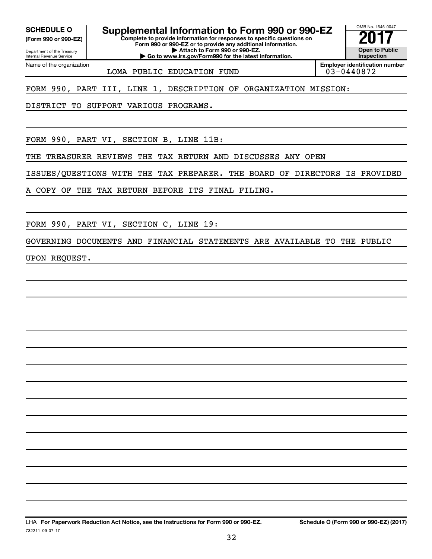**(Form 990 or 990-EZ)**

**SCHEDULE O Supplemental Information to Form 990 or 990-EZ** <br> **Complete to provide information for responses to specific questions on** 

**Complete to provide information for responses to specific questions on Form 990 or 990-EZ or to provide any additional information. | Attach to Form 990 or 990-EZ.**

**| Go to www.irs.gov/Form990 for the latest information.**

Department of the Treasury Internal Revenue Service Name of the organization

LOMA PUBLIC EDUCATION FUND  $\vert$  03-0440872

**Employer identification number**

OMB No. 1545-0047

**Open to Public Inspection**

FORM 990, PART III, LINE 1, DESCRIPTION OF ORGANIZATION MISSION:

DISTRICT TO SUPPORT VARIOUS PROGRAMS.

FORM 990, PART VI, SECTION B, LINE 11B:

THE TREASURER REVIEWS THE TAX RETURN AND DISCUSSES ANY OPEN

ISSUES/QUESTIONS WITH THE TAX PREPARER. THE BOARD OF DIRECTORS IS PROVIDED

A COPY OF THE TAX RETURN BEFORE ITS FINAL FILING.

FORM 990, PART VI, SECTION C, LINE 19:

GOVERNING DOCUMENTS AND FINANCIAL STATEMENTS ARE AVAILABLE TO THE PUBLIC

UPON REQUEST.